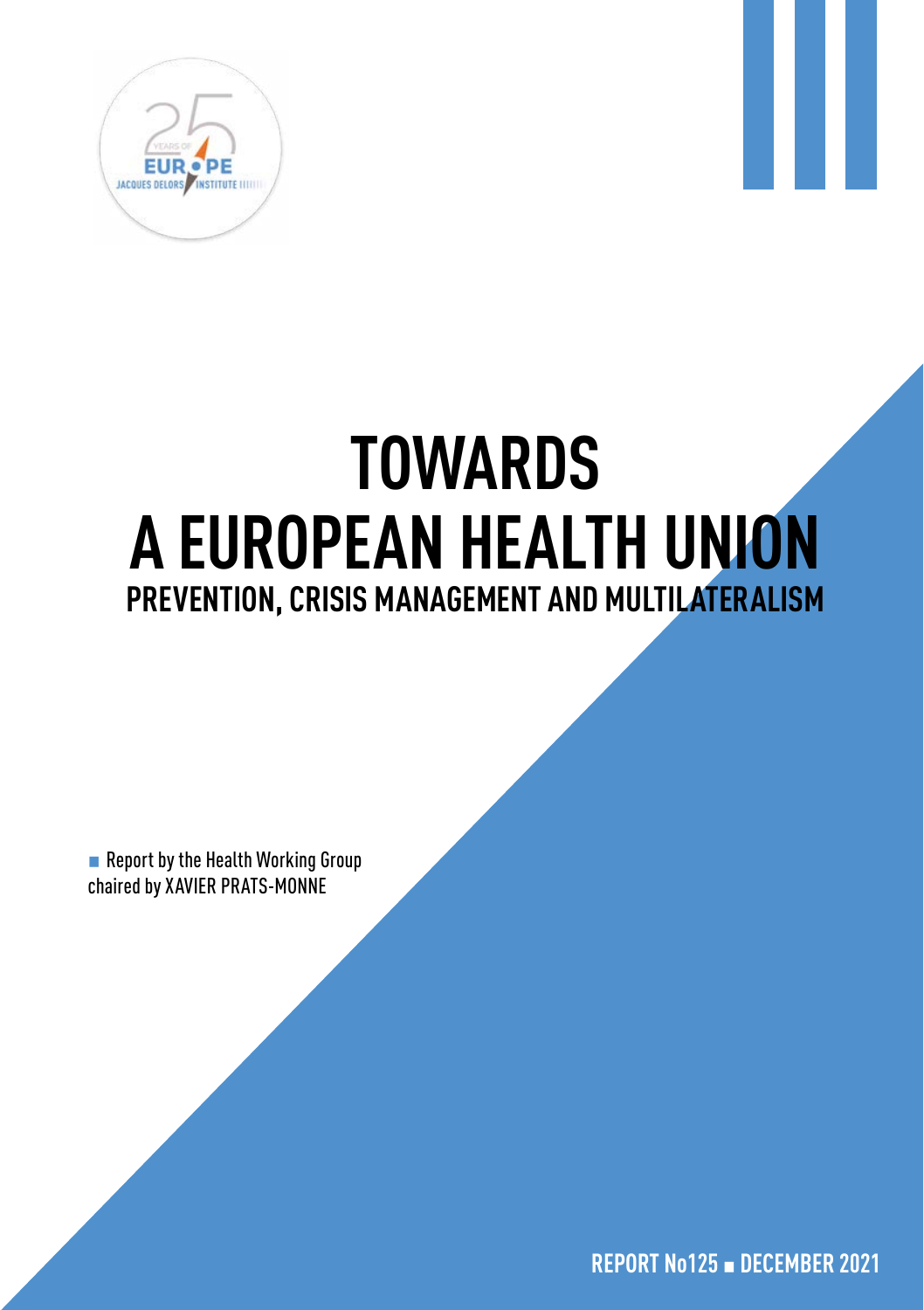

# **TOWARDS A EUROPEAN HEALTH UNION PREVENTION, CRISIS MANAGEMENT AND MULTILATERALISM**

■ Report by the Health Working Group chaired by XAVIER PRATS-MONNE

**REPORT No125** ▪ **DECEMBER 2021**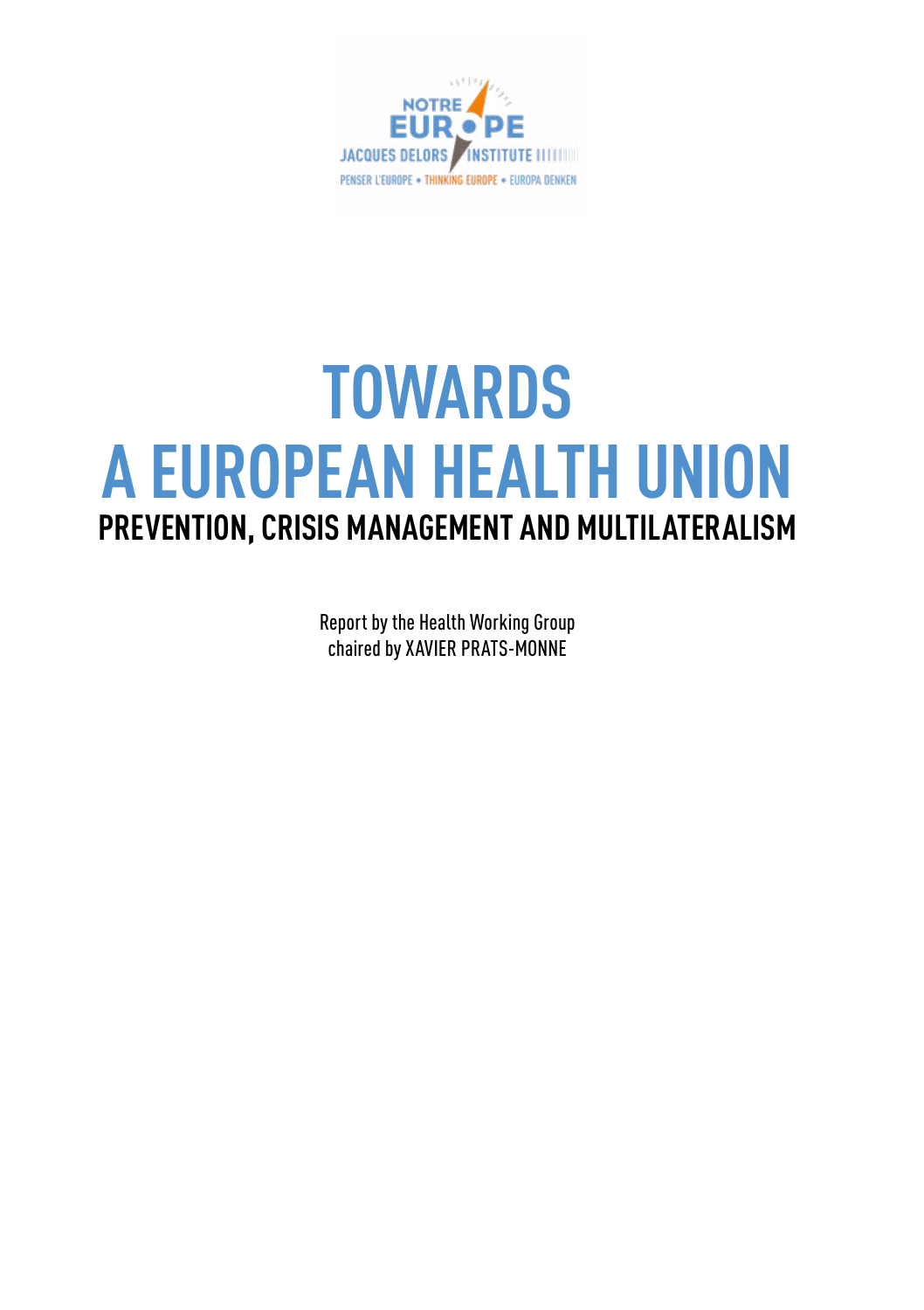

## **TOWARDS A EUROPEAN HEALTH UNION PREVENTION, CRISIS MANAGEMENT AND MULTILATERALISM**

Report by the Health Working Group chaired by XAVIER PRATS-MONNE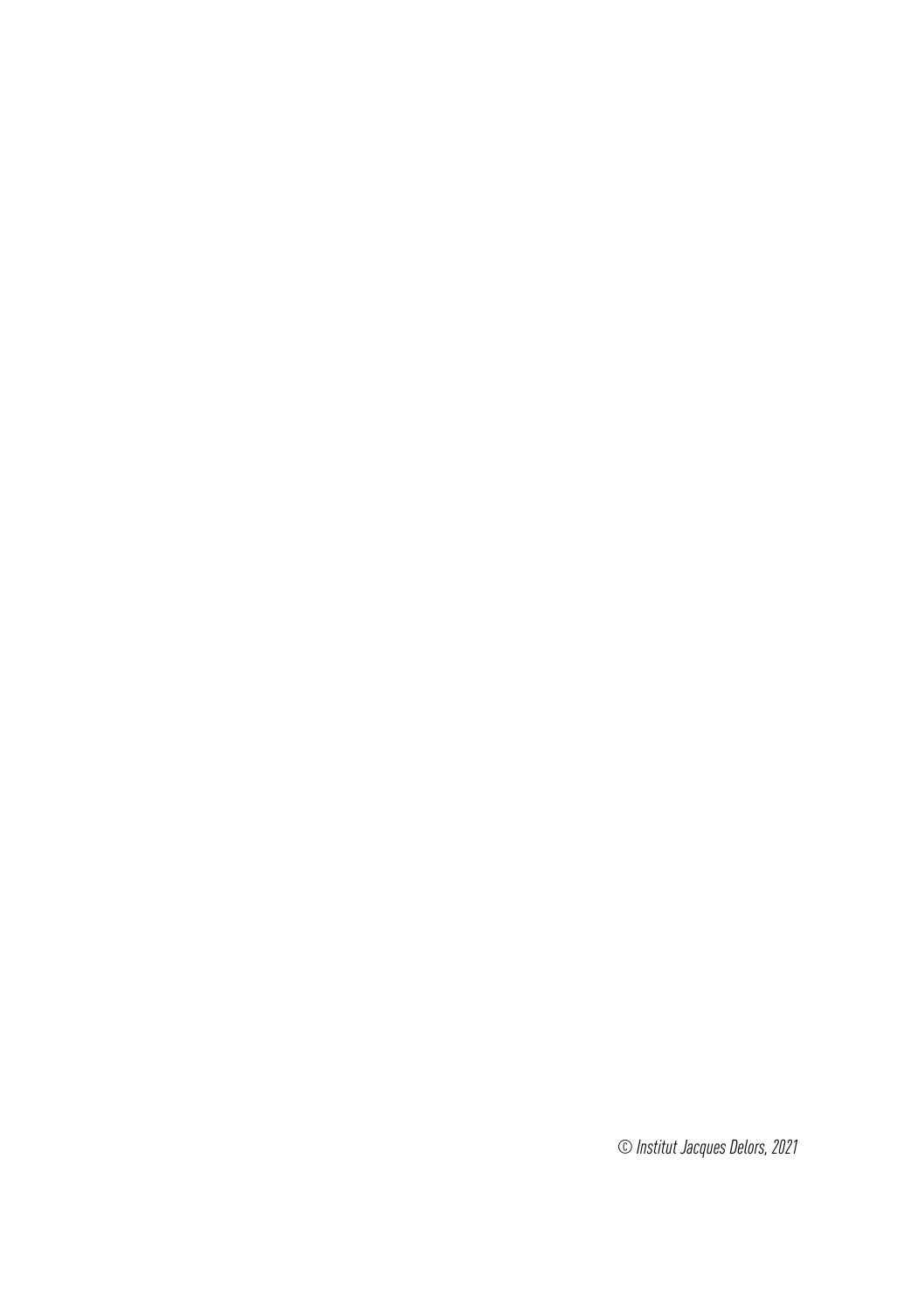*© Institut Jacques Delors, 2021*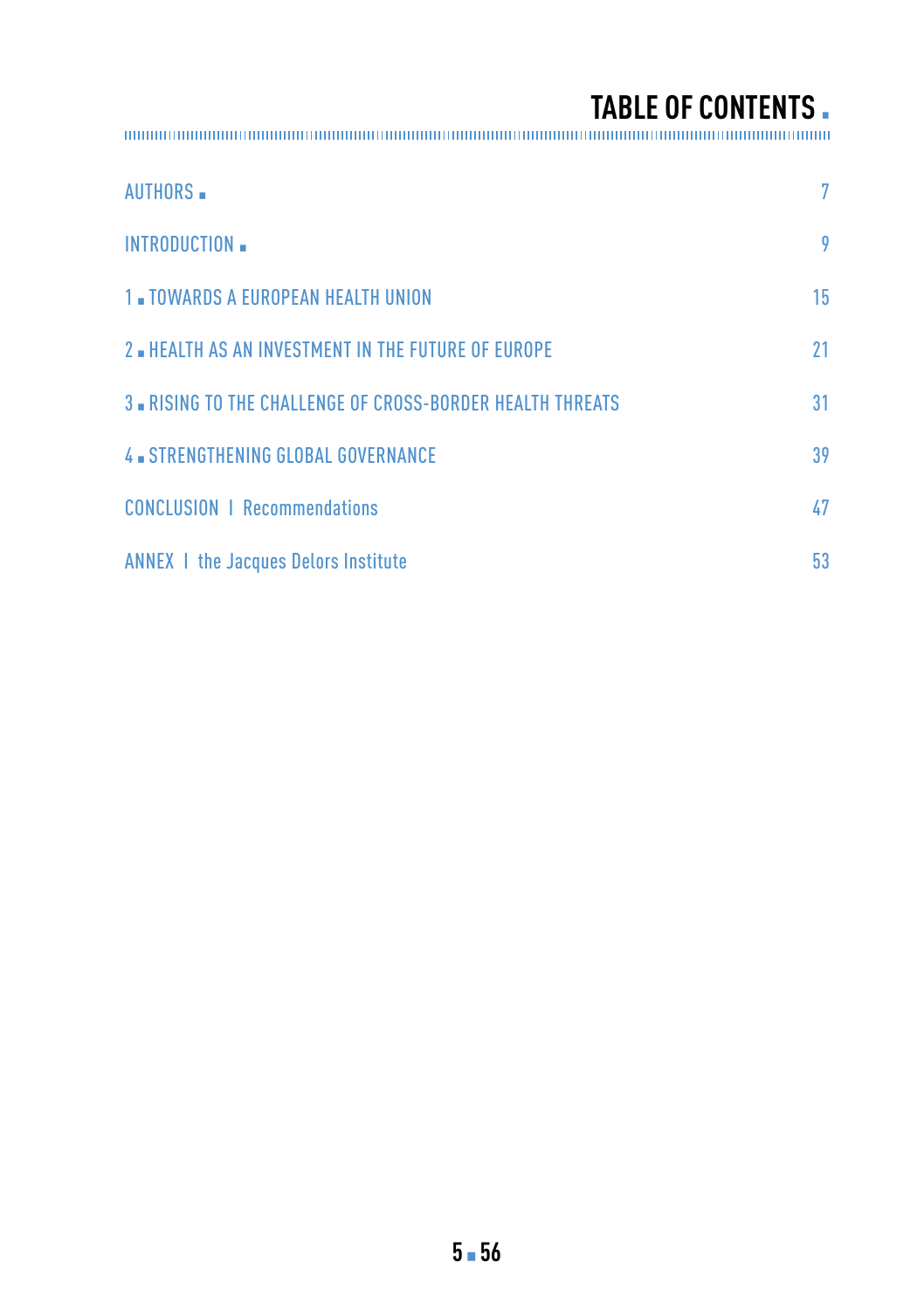**TABLE OF CONTENTS** ▪

| <b>AUTHORS</b>                                                   | 7  |
|------------------------------------------------------------------|----|
| INTRODUCTION                                                     | 9  |
| <b>1. TOWARDS A EUROPEAN HEALTH UNION</b>                        | 15 |
| 2. HEALTH AS AN INVESTMENT IN THE FUTURE OF EUROPE               | 21 |
| <b>3. RISING TO THE CHALLENGE OF CROSS-BORDER HEALTH THREATS</b> | 31 |
| 4 STRENGTHENING GLOBAL GOVERNANCE                                | 39 |
| <b>CONCLUSION   Recommendations</b>                              | 47 |
| <b>ANNEX 1 the Jacques Delors Institute</b>                      | 53 |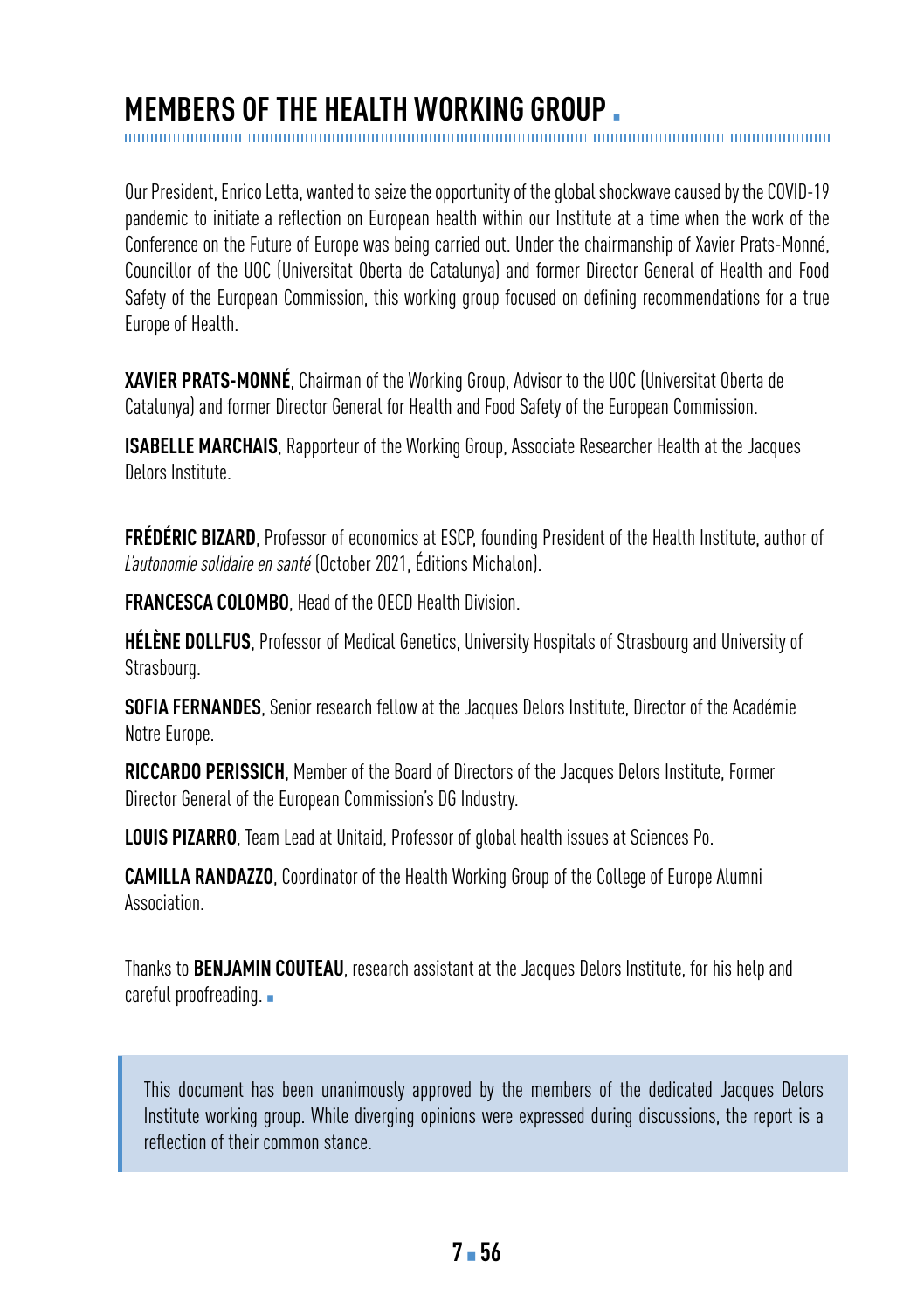### **MEMBERS OF THE HEALTH WORKING GROUP.**

Our President, Enrico Letta, wanted to seize the opportunity of the global shockwave caused by the COVID-19 pandemic to initiate a reflection on European health within our Institute at a time when the work of the Conference on the Future of Europe was being carried out. Under the chairmanship of Xavier Prats-Monné, Councillor of the UOC (Universitat Oberta de Catalunya) and former Director General of Health and Food Safety of the European Commission, this working group focused on defining recommendations for a true Europe of Health.

**XAVIER PRATS-MONNÉ**, Chairman of the Working Group, Advisor to the UOC (Universitat Oberta de Catalunya) and former Director General for Health and Food Safety of the European Commission.

**ISABELLE MARCHAIS**, Rapporteur of the Working Group, Associate Researcher Health at the Jacques Delors Institute.

**FRÉDÉRIC BIZARD**, Professor of economics at ESCP, founding President of the Health Institute, author of *L'autonomie solidaire en santé* (October 2021, Éditions Michalon).

**FRANCESCA COLOMBO**, Head of the OECD Health Division.

**HÉLÈNE DOLLFUS**, Professor of Medical Genetics, University Hospitals of Strasbourg and University of Strasbourg.

**SOFIA FERNANDES**, Senior research fellow at the Jacques Delors Institute, Director of the Académie Notre Europe.

**RICCARDO PERISSICH**, Member of the Board of Directors of the Jacques Delors Institute, Former Director General of the European Commission's DG Industry.

**LOUIS PIZARRO**, Team Lead at Unitaid, Professor of global health issues at Sciences Po.

**CAMILLA RANDAZZO**, Coordinator of the Health Working Group of the College of Europe Alumni Association.

Thanks to **BENJAMIN COUTEAU**, research assistant at the Jacques Delors Institute, for his help and careful proofreading. •

This document has been unanimously approved by the members of the dedicated Jacques Delors Institute working group. While diverging opinions were expressed during discussions, the report is a reflection of their common stance.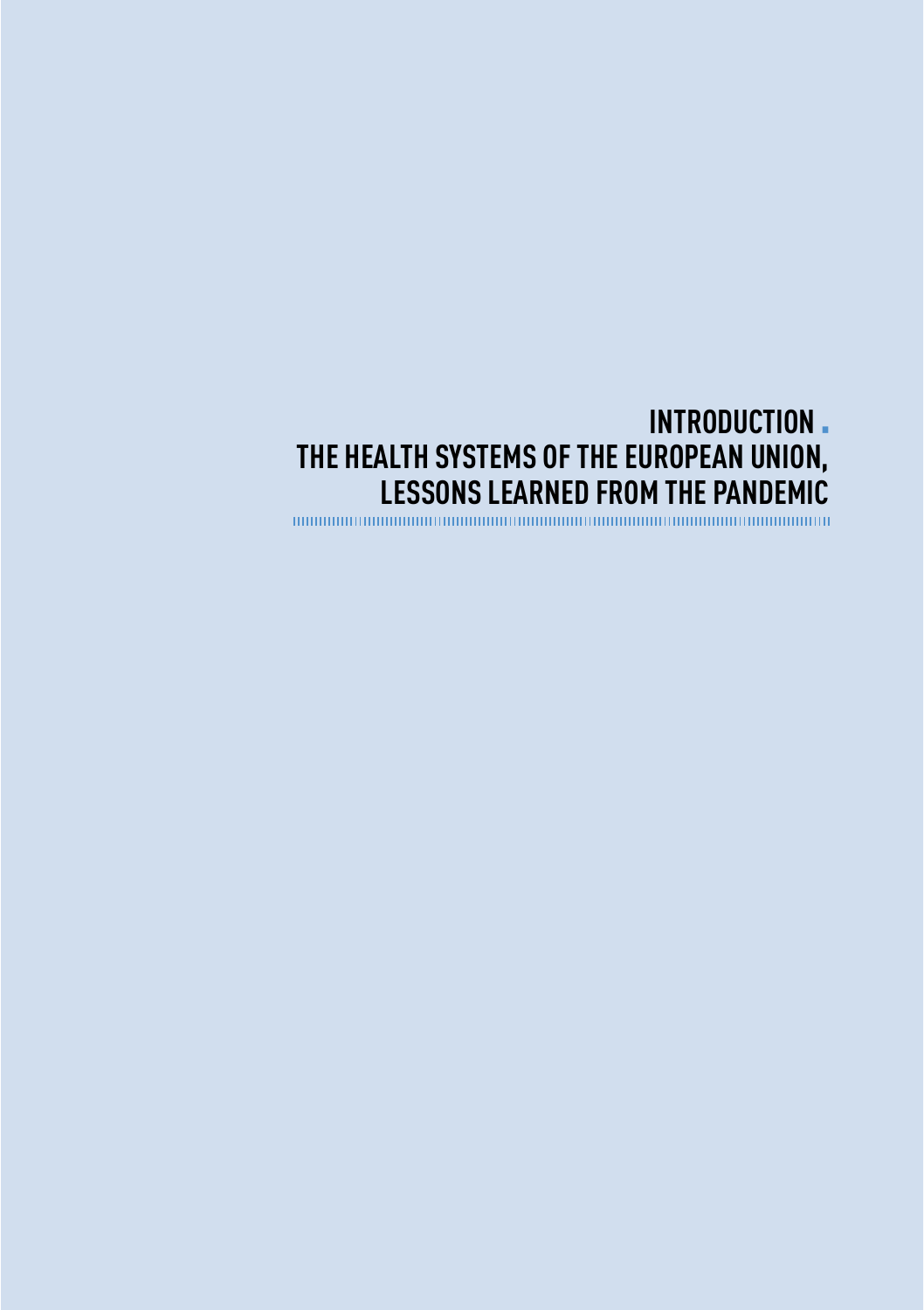## <span id="page-8-0"></span>**INTRODUCTION THE HEALTH SYSTEMS OF THE EUROPEAN UNION, LESSONS LEARNED FROM THE PANDEMIC**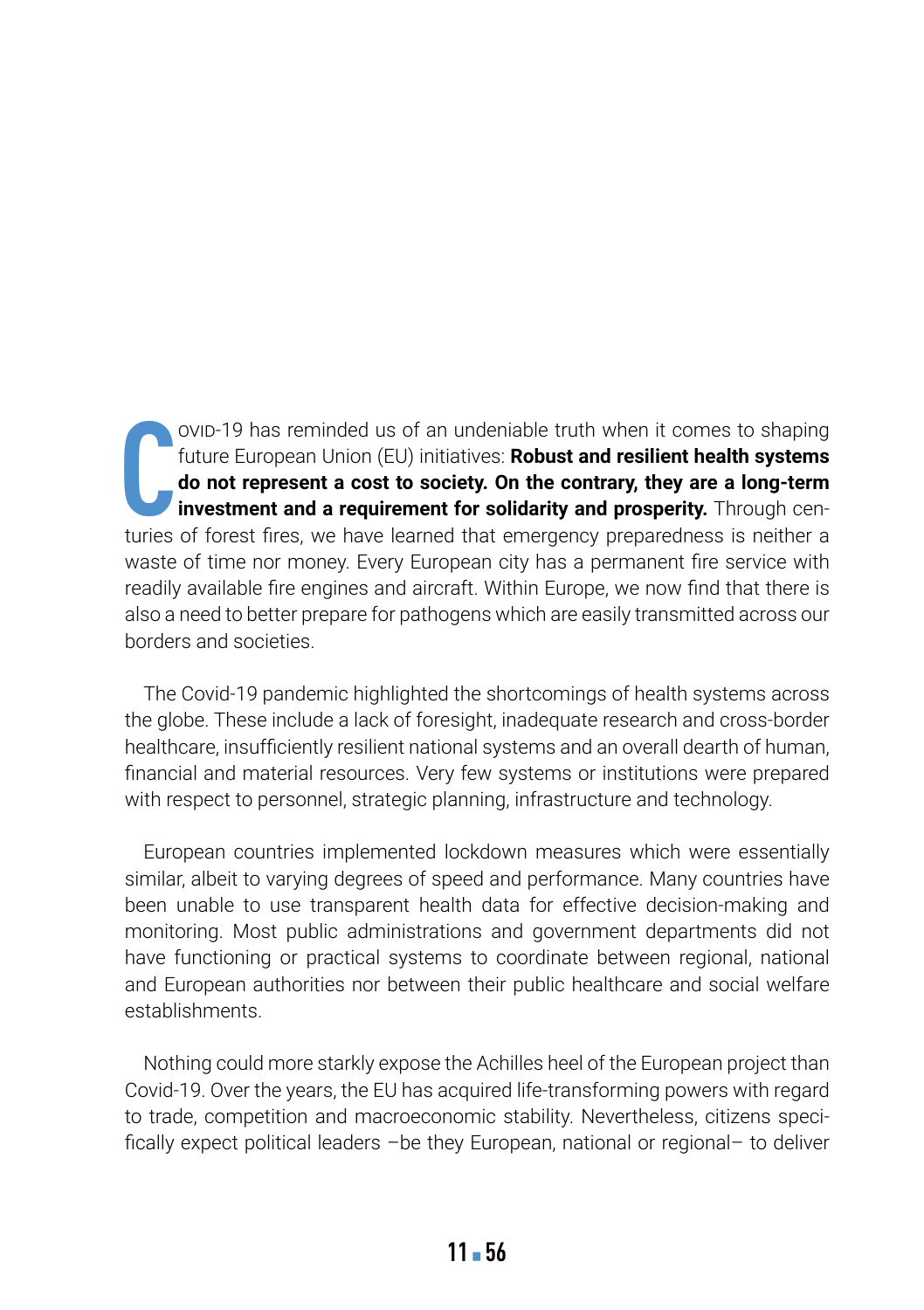**C** ovid-19 has reminded us of an undeniable truth when it comes to shaping future European Union (EU) initiatives: **Robust and resilient health systems do not represent a cost to society. On the contrary, they are a long-term investment and a requirement for solidarity and prosperity.** Through centuries of forest fires, we have learned that emergency preparedness is neither a waste of time nor money. Every European city has a permanent fire service with readily available fire engines and aircraft. Within Europe, we now find that there is also a need to better prepare for pathogens which are easily transmitted across our borders and societies.

The Covid-19 pandemic highlighted the shortcomings of health systems across the globe. These include a lack of foresight, inadequate research and cross-border healthcare, insufficiently resilient national systems and an overall dearth of human, financial and material resources. Very few systems or institutions were prepared with respect to personnel, strategic planning, infrastructure and technology.

European countries implemented lockdown measures which were essentially similar, albeit to varying degrees of speed and performance. Many countries have been unable to use transparent health data for effective decision-making and monitoring. Most public administrations and government departments did not have functioning or practical systems to coordinate between regional, national and European authorities nor between their public healthcare and social welfare establishments.

Nothing could more starkly expose the Achilles heel of the European project than Covid-19. Over the years, the EU has acquired life-transforming powers with regard to trade, competition and macroeconomic stability. Nevertheless, citizens specifically expect political leaders –be they European, national or regional– to deliver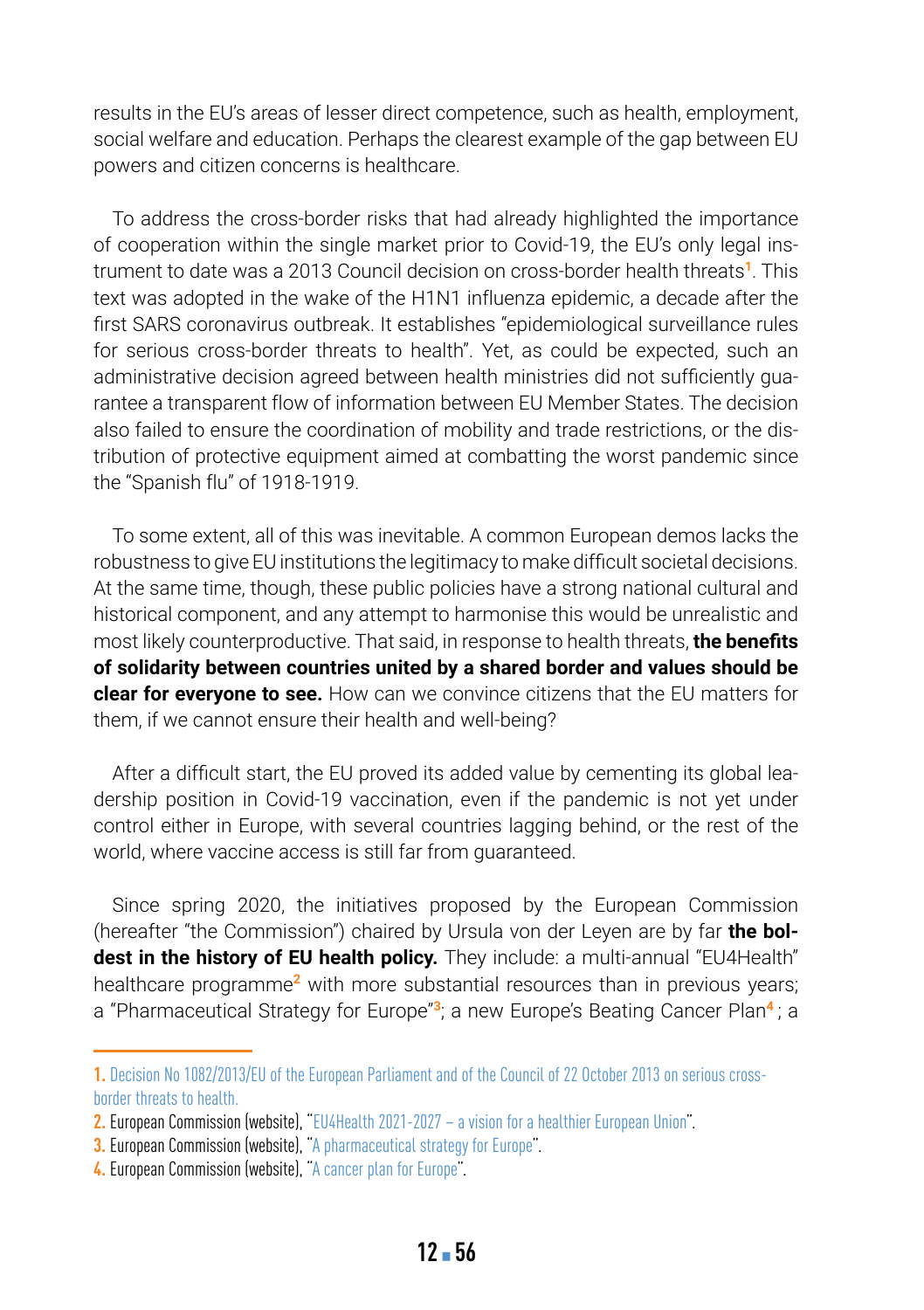results in the EU's areas of lesser direct competence, such as health, employment, social welfare and education. Perhaps the clearest example of the gap between EU powers and citizen concerns is healthcare.

To address the cross-border risks that had already highlighted the importance of cooperation within the single market prior to Covid-19, the EU's only legal instrument to date was a 2013 Council decision on cross-border health threats**<sup>1</sup>**. This text was adopted in the wake of the H1N1 influenza epidemic, a decade after the first SARS coronavirus outbreak. It establishes "epidemiological surveillance rules for serious cross-border threats to health". Yet, as could be expected, such an administrative decision agreed between health ministries did not sufficiently guarantee a transparent flow of information between EU Member States. The decision also failed to ensure the coordination of mobility and trade restrictions, or the distribution of protective equipment aimed at combatting the worst pandemic since the "Spanish flu" of 1918-1919.

To some extent, all of this was inevitable. A common European demos lacks the robustness to give EU institutions the legitimacy to make difficult societal decisions. At the same time, though, these public policies have a strong national cultural and historical component, and any attempt to harmonise this would be unrealistic and most likely counterproductive. That said, in response to health threats, **the benefits of solidarity between countries united by a shared border and values should be clear for everyone to see.** How can we convince citizens that the EU matters for them, if we cannot ensure their health and well-being?

After a difficult start, the EU proved its added value by cementing its global leadership position in Covid-19 vaccination, even if the pandemic is not yet under control either in Europe, with several countries lagging behind, or the rest of the world, where vaccine access is still far from guaranteed.

Since spring 2020, the initiatives proposed by the European Commission (hereafter "the Commission") chaired by Ursula von der Leyen are by far **the boldest in the history of EU health policy.** They include: a multi-annual "EU4Health" healthcare programme**<sup>2</sup>** with more substantial resources than in previous years; a "Pharmaceutical Strategy for Europe"**<sup>3</sup>**; a new Europe's Beating Cancer Plan**<sup>4</sup>** ; a

**<sup>1.</sup>** [Decision No 1082/2013/EU of the European Parliament and of the Council of 22 October 2013 on serious cross](https://eur-lex.europa.eu/legal-content/EN/ALL/?uri=CELEX:32013D1082)[border threats to health.](https://eur-lex.europa.eu/legal-content/EN/ALL/?uri=CELEX:32013D1082)

**<sup>2.</sup>** European Commission (website), ["EU4Health 2021-2027 – a vision for a healthier European Union"](https://ec.europa.eu/health/funding/eu4health_en).

**<sup>3.</sup>** European Commission (website), ["A pharmaceutical strategy for Europe"](https://ec.europa.eu/health/human-use/strategy_en).

**<sup>4.</sup>** European Commission (website), ["A cancer plan for Europe"](https://ec.europa.eu/info/strategy/priorities-2019-2024/promoting-our-european-way-life/european-health-union/cancer-plan-europe_en).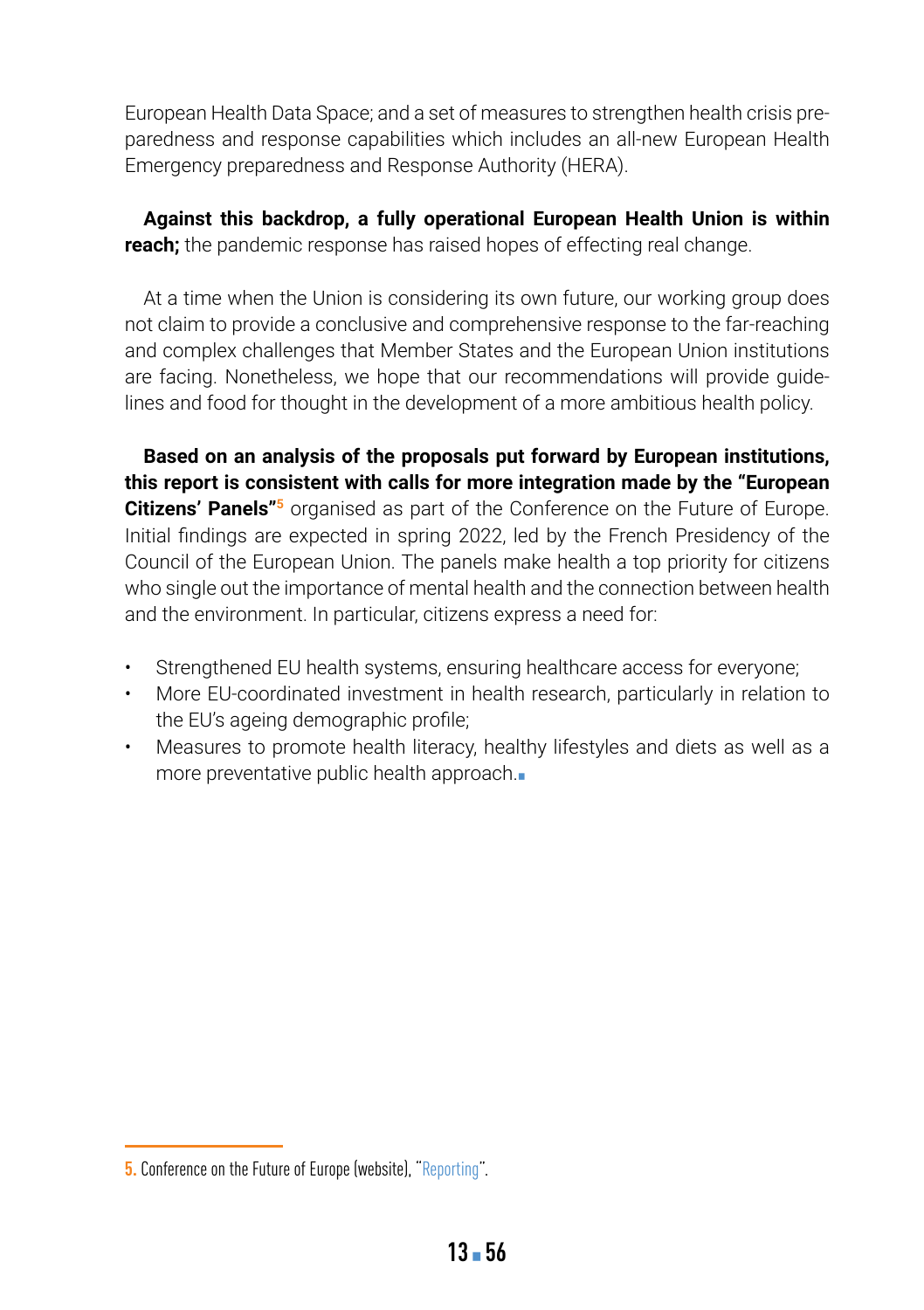European Health Data Space; and a set of measures to strengthen health crisis preparedness and response capabilities which includes an all-new European Health Emergency preparedness and Response Authority (HERA).

**Against this backdrop, a fully operational European Health Union is within reach;** the pandemic response has raised hopes of effecting real change.

At a time when the Union is considering its own future, our working group does not claim to provide a conclusive and comprehensive response to the far-reaching and complex challenges that Member States and the European Union institutions are facing. Nonetheless, we hope that our recommendations will provide guidelines and food for thought in the development of a more ambitious health policy.

**Based on an analysis of the proposals put forward by European institutions, this report is consistent with calls for more integration made by the "European Citizens' Panels<sup>"5</sup>** organised as part of the Conference on the Future of Europe. Initial findings are expected in spring 2022, led by the French Presidency of the Council of the European Union. The panels make health a top priority for citizens who single out the importance of mental health and the connection between health and the environment. In particular, citizens express a need for:

- Strengthened EU health systems, ensuring healthcare access for everyone;
- More EU-coordinated investment in health research, particularly in relation to the EU's ageing demographic profile;
- Measures to promote health literacy, healthy lifestyles and diets as well as a more preventative public health approach.■

**<sup>5.</sup>** Conference on the Future of Europe (website), "[Reporting"](https://futureu.europa.eu/pages/reporting?format=html&locale=en).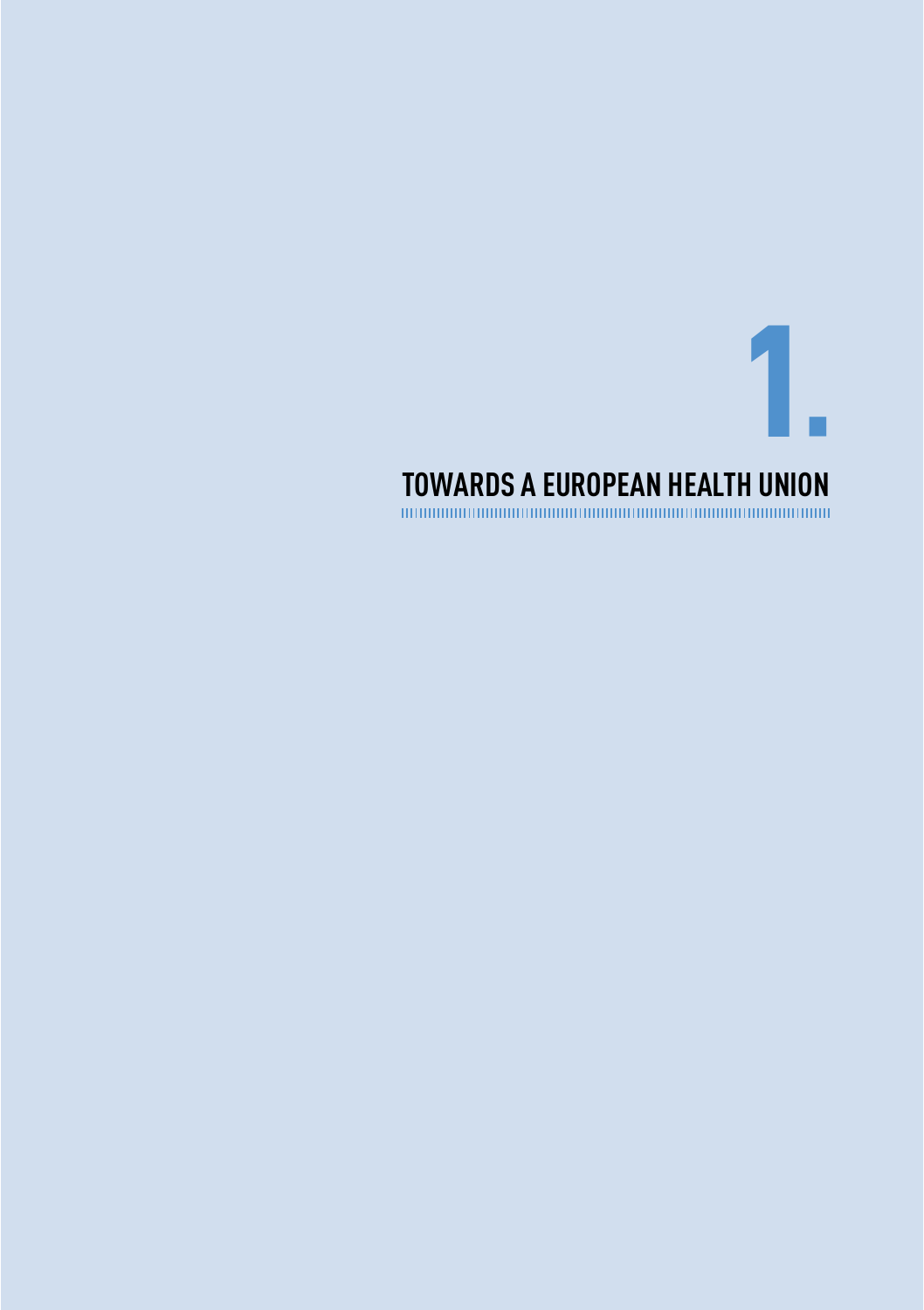<span id="page-14-0"></span>1 TOWARDS A EUROPEAN HEALTH UNION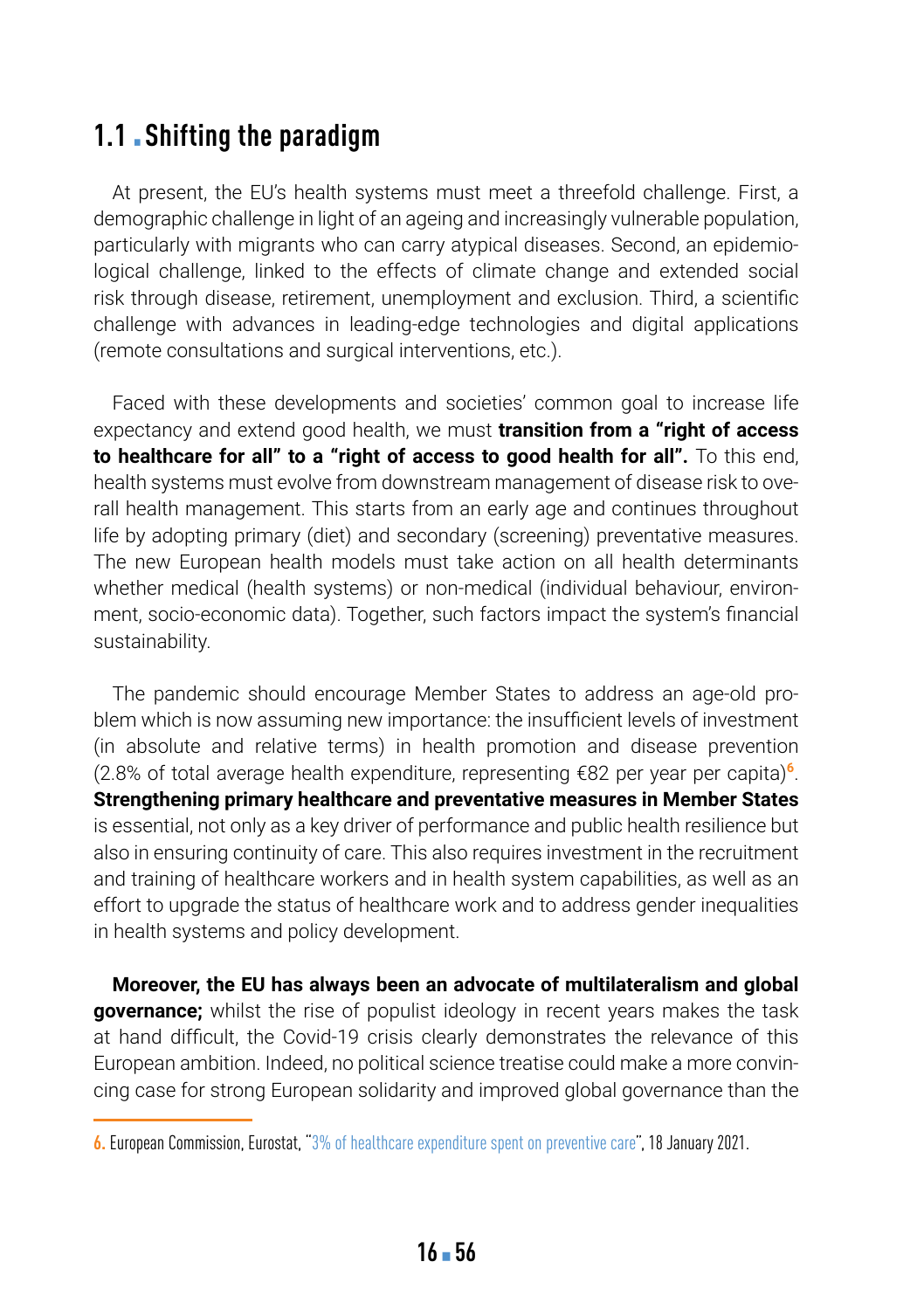### **1.1. Shifting the paradigm**

At present, the EU's health systems must meet a threefold challenge. First, a demographic challenge in light of an ageing and increasingly vulnerable population, particularly with migrants who can carry atypical diseases. Second, an epidemiological challenge, linked to the effects of climate change and extended social risk through disease, retirement, unemployment and exclusion. Third, a scientific challenge with advances in leading-edge technologies and digital applications (remote consultations and surgical interventions, etc.).

Faced with these developments and societies' common goal to increase life expectancy and extend good health, we must **transition from a "right of access to healthcare for all" to a "right of access to good health for all".** To this end, health systems must evolve from downstream management of disease risk to overall health management. This starts from an early age and continues throughout life by adopting primary (diet) and secondary (screening) preventative measures. The new European health models must take action on all health determinants whether medical (health systems) or non-medical (individual behaviour, environment, socio-economic data). Together, such factors impact the system's financial sustainability.

The pandemic should encourage Member States to address an age-old problem which is now assuming new importance: the insufficient levels of investment (in absolute and relative terms) in health promotion and disease prevention (2.8% of total average health expenditure, representing €82 per year per capita)**<sup>6</sup>**. **Strengthening primary healthcare and preventative measures in Member States**  is essential, not only as a key driver of performance and public health resilience but also in ensuring continuity of care. This also requires investment in the recruitment and training of healthcare workers and in health system capabilities, as well as an effort to upgrade the status of healthcare work and to address gender inequalities in health systems and policy development.

**Moreover, the EU has always been an advocate of multilateralism and global governance;** whilst the rise of populist ideology in recent years makes the task at hand difficult, the Covid-19 crisis clearly demonstrates the relevance of this European ambition. Indeed, no political science treatise could make a more convincing case for strong European solidarity and improved global governance than the

**<sup>6.</sup>** European Commission, Eurostat, "[3% of healthcare expenditure spent on preventive care"](https://ec.europa.eu/eurostat/fr/web/products-eurostat-news/-/ddn-20210118-1?redirect=/eurostat/news/whats-new), 18 January 2021.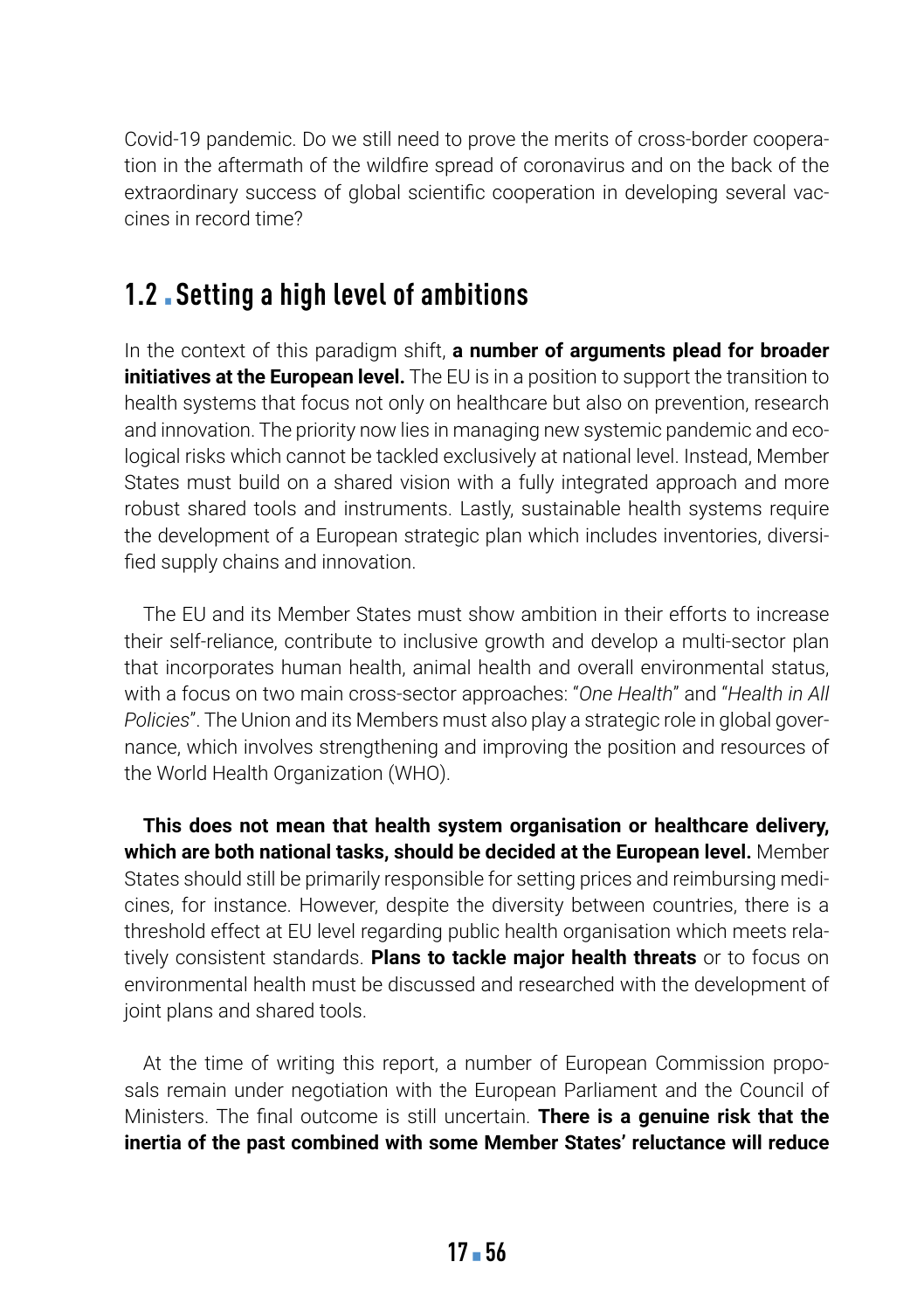Covid-19 pandemic. Do we still need to prove the merits of cross-border cooperation in the aftermath of the wildfire spread of coronavirus and on the back of the extraordinary success of global scientific cooperation in developing several vaccines in record time?

### **1.2** ▪ **Setting a high level of ambitions**

In the context of this paradigm shift, **a number of arguments plead for broader initiatives at the European level.** The EU is in a position to support the transition to health systems that focus not only on healthcare but also on prevention, research and innovation. The priority now lies in managing new systemic pandemic and ecological risks which cannot be tackled exclusively at national level. Instead, Member States must build on a shared vision with a fully integrated approach and more robust shared tools and instruments. Lastly, sustainable health systems require the development of a European strategic plan which includes inventories, diversified supply chains and innovation.

The EU and its Member States must show ambition in their efforts to increase their self-reliance, contribute to inclusive growth and develop a multi-sector plan that incorporates human health, animal health and overall environmental status, with a focus on two main cross-sector approaches: "*One Health*" and "*Health in All Policies*". The Union and its Members must also play a strategic role in global governance, which involves strengthening and improving the position and resources of the World Health Organization (WHO).

**This does not mean that health system organisation or healthcare delivery, which are both national tasks, should be decided at the European level.** Member States should still be primarily responsible for setting prices and reimbursing medicines, for instance. However, despite the diversity between countries, there is a threshold effect at EU level regarding public health organisation which meets relatively consistent standards. **Plans to tackle major health threats** or to focus on environmental health must be discussed and researched with the development of joint plans and shared tools.

At the time of writing this report, a number of European Commission proposals remain under negotiation with the European Parliament and the Council of Ministers. The final outcome is still uncertain. **There is a genuine risk that the inertia of the past combined with some Member States' reluctance will reduce**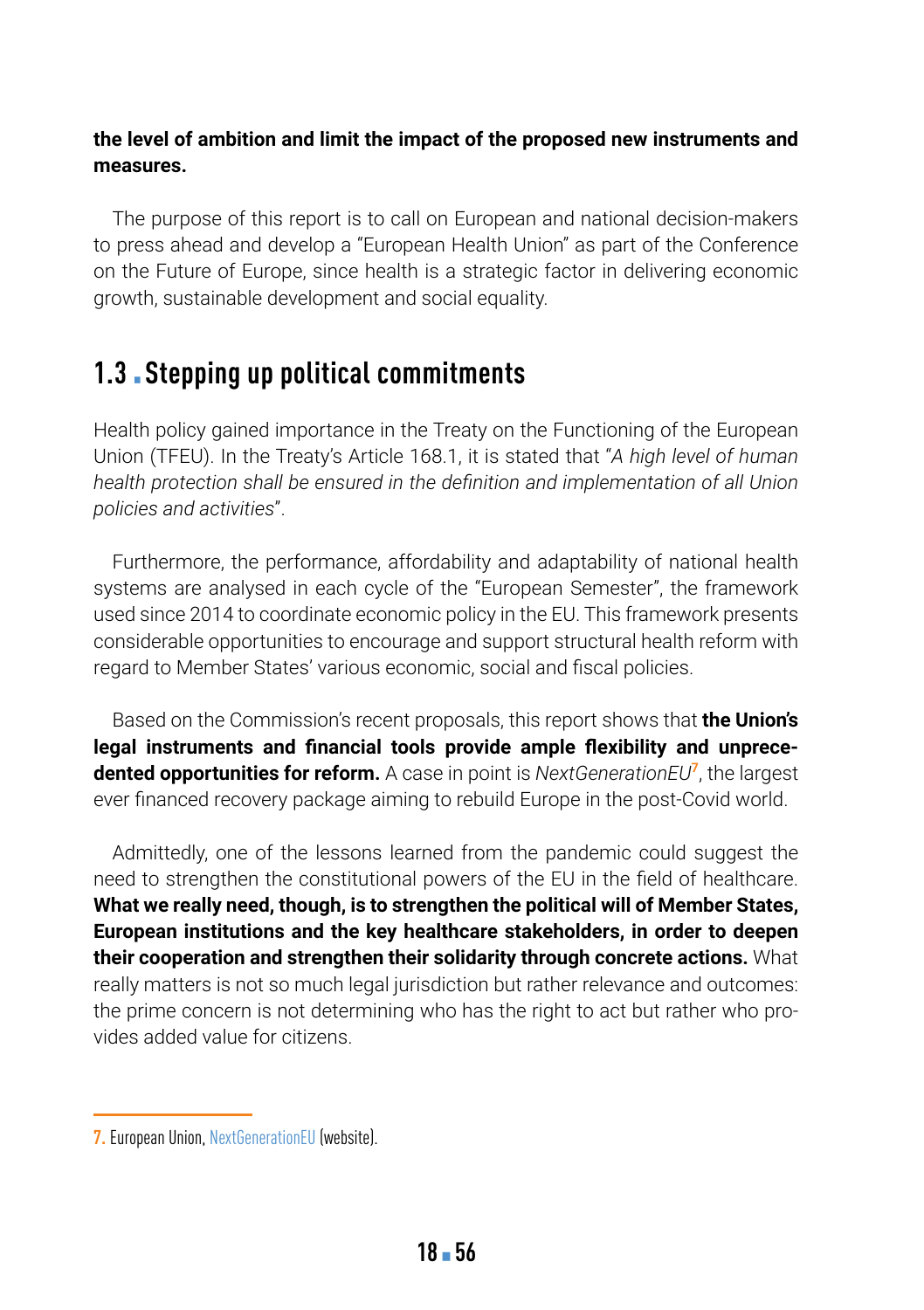#### **the level of ambition and limit the impact of the proposed new instruments and measures.**

The purpose of this report is to call on European and national decision-makers to press ahead and develop a "European Health Union" as part of the Conference on the Future of Europe, since health is a strategic factor in delivering economic growth, sustainable development and social equality.

### **1.3** ▪ **Stepping up political commitments**

Health policy gained importance in the Treaty on the Functioning of the European Union (TFEU). In the Treaty's Article 168.1, it is stated that "*A high level of human health protection shall be ensured in the definition and implementation of all Union policies and activities*".

Furthermore, the performance, affordability and adaptability of national health systems are analysed in each cycle of the "European Semester", the framework used since 2014 to coordinate economic policy in the EU. This framework presents considerable opportunities to encourage and support structural health reform with regard to Member States' various economic, social and fiscal policies.

Based on the Commission's recent proposals, this report shows that **the Union's legal instruments and financial tools provide ample flexibility and unprecedented opportunities for reform.** A case in point is *NextGenerationEU***<sup>7</sup>**, the largest ever financed recovery package aiming to rebuild Europe in the post-Covid world.

Admittedly, one of the lessons learned from the pandemic could suggest the need to strengthen the constitutional powers of the EU in the field of healthcare. **What we really need, though, is to strengthen the political will of Member States, European institutions and the key healthcare stakeholders, in order to deepen their cooperation and strengthen their solidarity through concrete actions.** What really matters is not so much legal jurisdiction but rather relevance and outcomes: the prime concern is not determining who has the right to act but rather who provides added value for citizens.

**<sup>7.</sup>** European Union, [NextGenerationEU](https://europa.eu/next-generation-eu/index_fr) (website).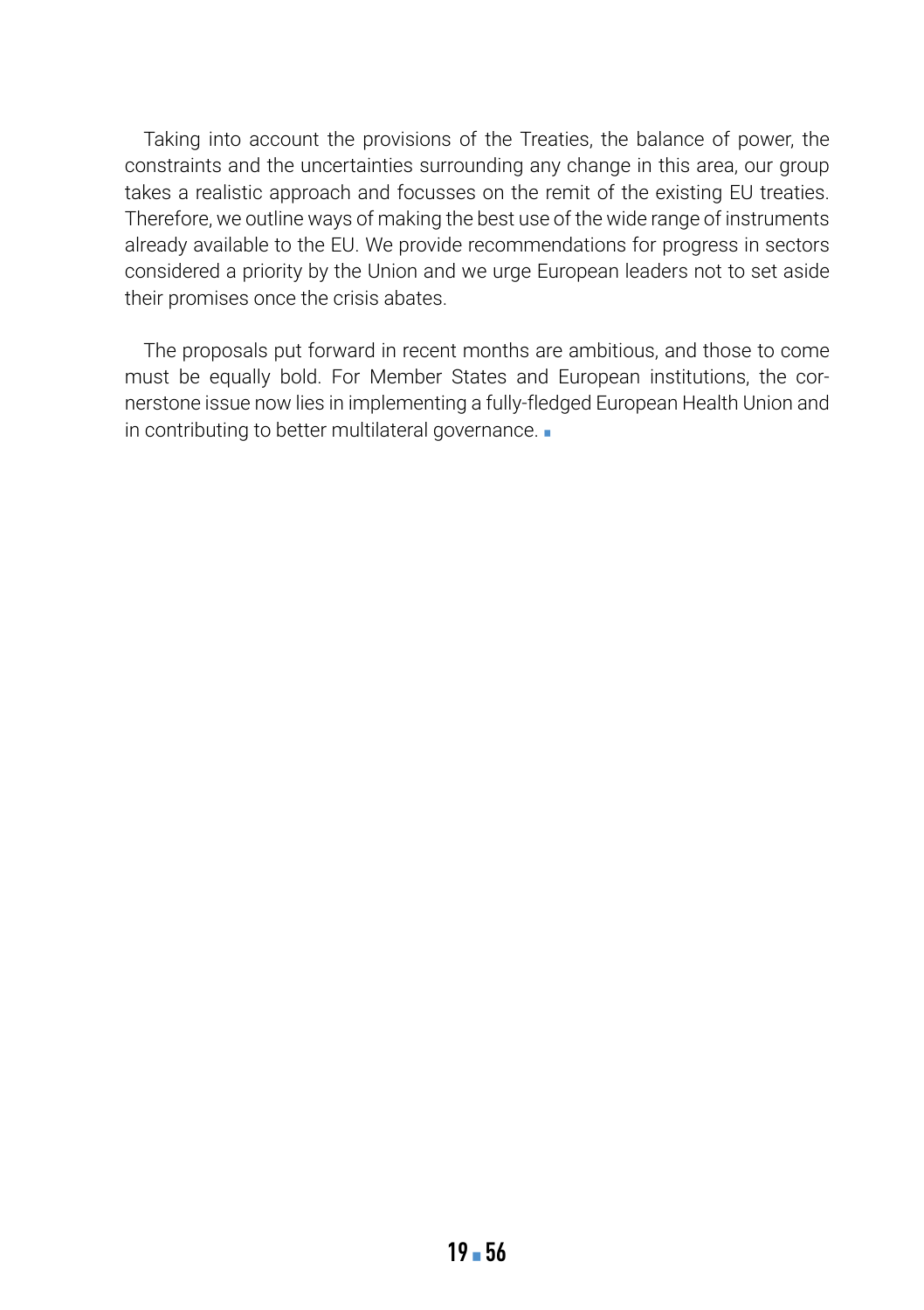Taking into account the provisions of the Treaties, the balance of power, the constraints and the uncertainties surrounding any change in this area, our group takes a realistic approach and focusses on the remit of the existing EU treaties. Therefore, we outline ways of making the best use of the wide range of instruments already available to the EU. We provide recommendations for progress in sectors considered a priority by the Union and we urge European leaders not to set aside their promises once the crisis abates.

The proposals put forward in recent months are ambitious, and those to come must be equally bold. For Member States and European institutions, the cornerstone issue now lies in implementing a fully-fledged European Health Union and in contributing to better multilateral governance. ■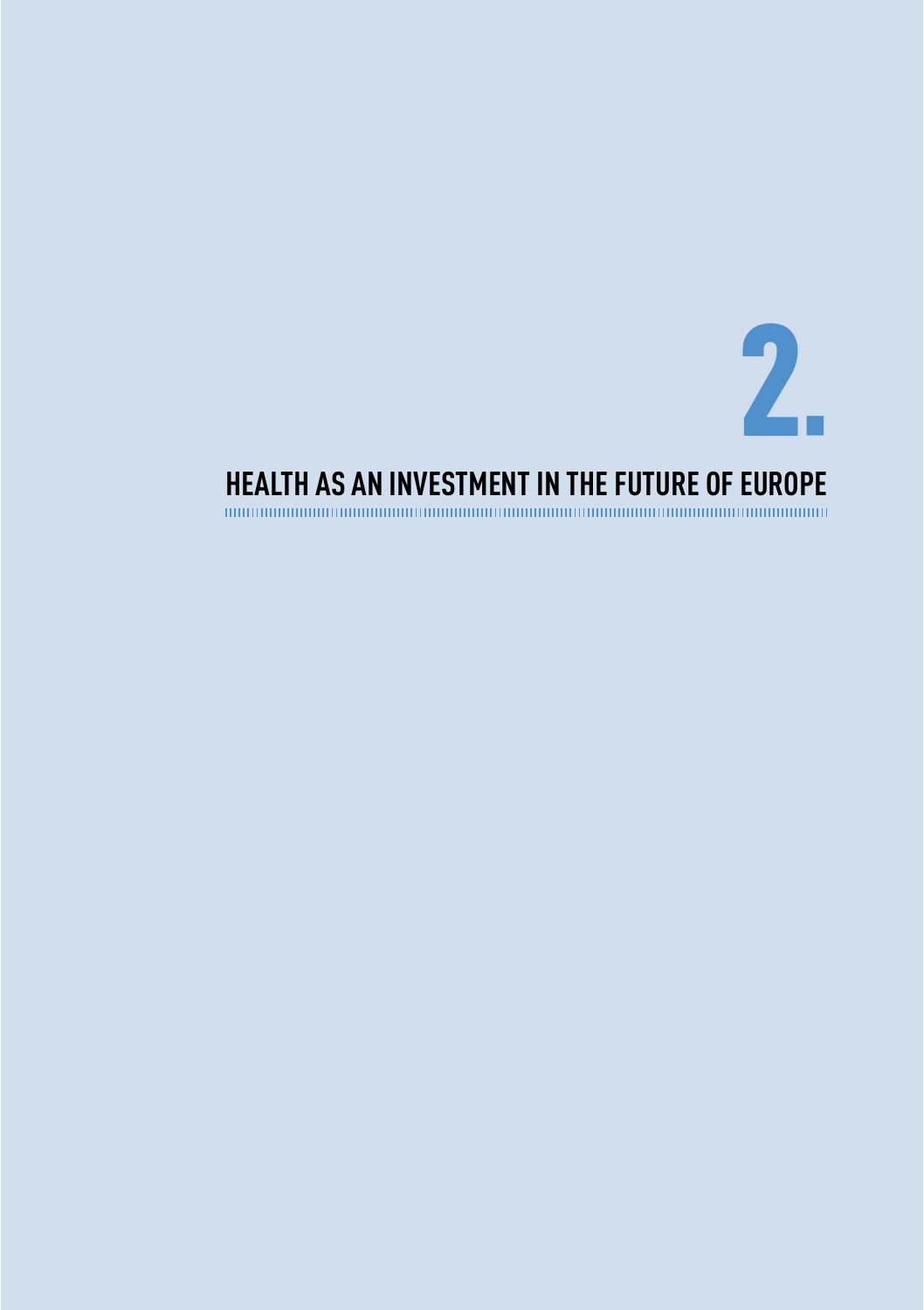

## <span id="page-20-0"></span>**HEALTH AS AN INVESTMENT IN THE FUTURE OF EUROPE**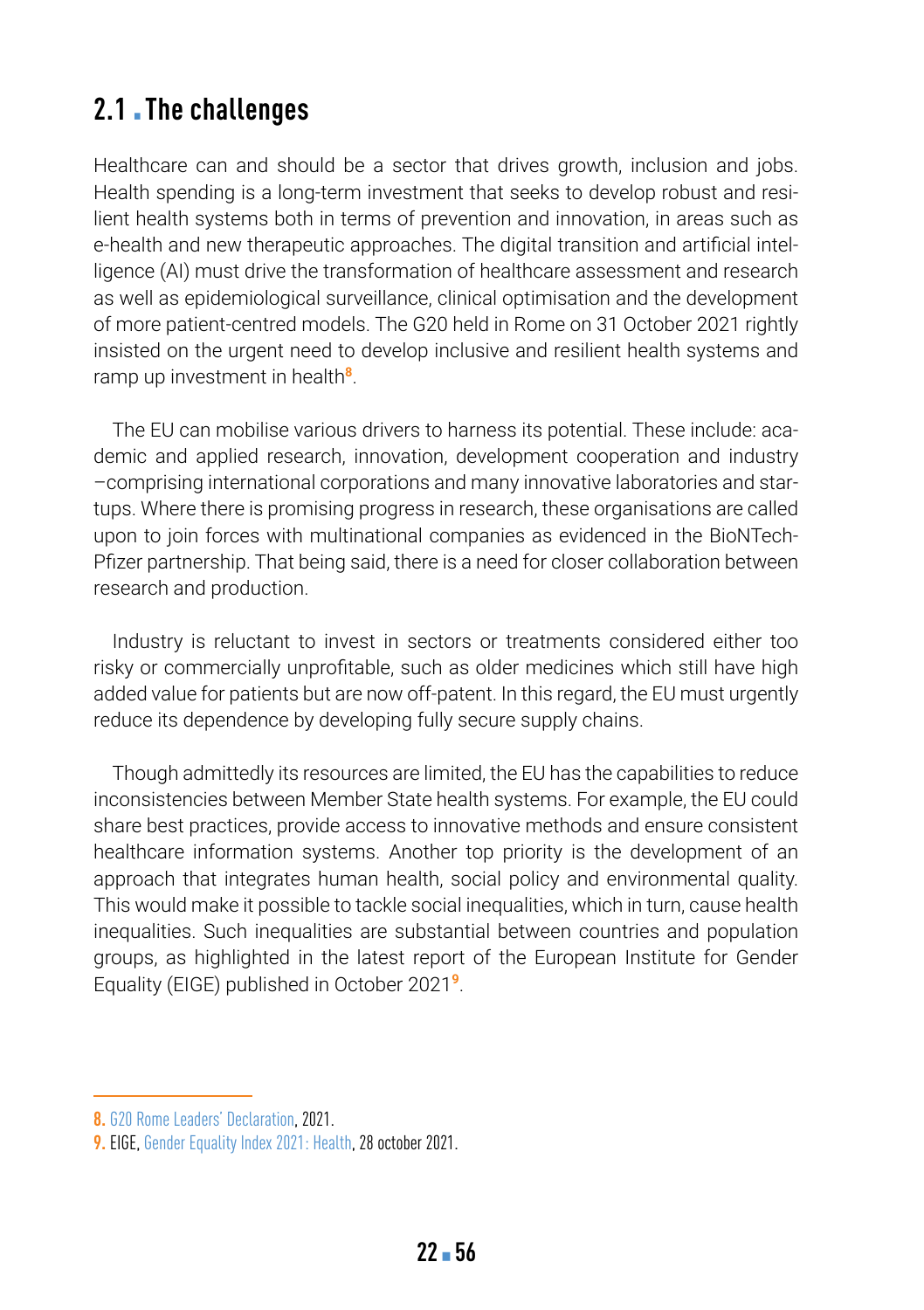### **2.1. The challenges**

Healthcare can and should be a sector that drives growth, inclusion and jobs. Health spending is a long-term investment that seeks to develop robust and resilient health systems both in terms of prevention and innovation, in areas such as e-health and new therapeutic approaches. The digital transition and artificial intelligence (AI) must drive the transformation of healthcare assessment and research as well as epidemiological surveillance, clinical optimisation and the development of more patient-centred models. The G20 held in Rome on 31 October 2021 rightly insisted on the urgent need to develop inclusive and resilient health systems and ramp up investment in health**<sup>8</sup>**.

The EU can mobilise various drivers to harness its potential. These include: academic and applied research, innovation, development cooperation and industry –comprising international corporations and many innovative laboratories and startups. Where there is promising progress in research, these organisations are called upon to join forces with multinational companies as evidenced in the BioNTech-Pfizer partnership. That being said, there is a need for closer collaboration between research and production.

Industry is reluctant to invest in sectors or treatments considered either too risky or commercially unprofitable, such as older medicines which still have high added value for patients but are now off-patent. In this regard, the EU must urgently reduce its dependence by developing fully secure supply chains.

Though admittedly its resources are limited, the EU has the capabilities to reduce inconsistencies between Member State health systems. For example, the EU could share best practices, provide access to innovative methods and ensure consistent healthcare information systems. Another top priority is the development of an approach that integrates human health, social policy and environmental quality. This would make it possible to tackle social inequalities, which in turn, cause health inequalities. Such inequalities are substantial between countries and population groups, as highlighted in the latest report of the European Institute for Gender Equality (EIGE) published in October 2021**<sup>9</sup>**.

**<sup>8.</sup>** [G20 Rome Leaders' Declaration,](https://www.consilium.europa.eu/media/52732/final-final-g20-rome-declaration.pdf) 2021.

**<sup>9.</sup>** EIGE, [Gender Equality Index 2021: Health,](https://eige.europa.eu/publications/gender-equality-index-2021-health) 28 october 2021.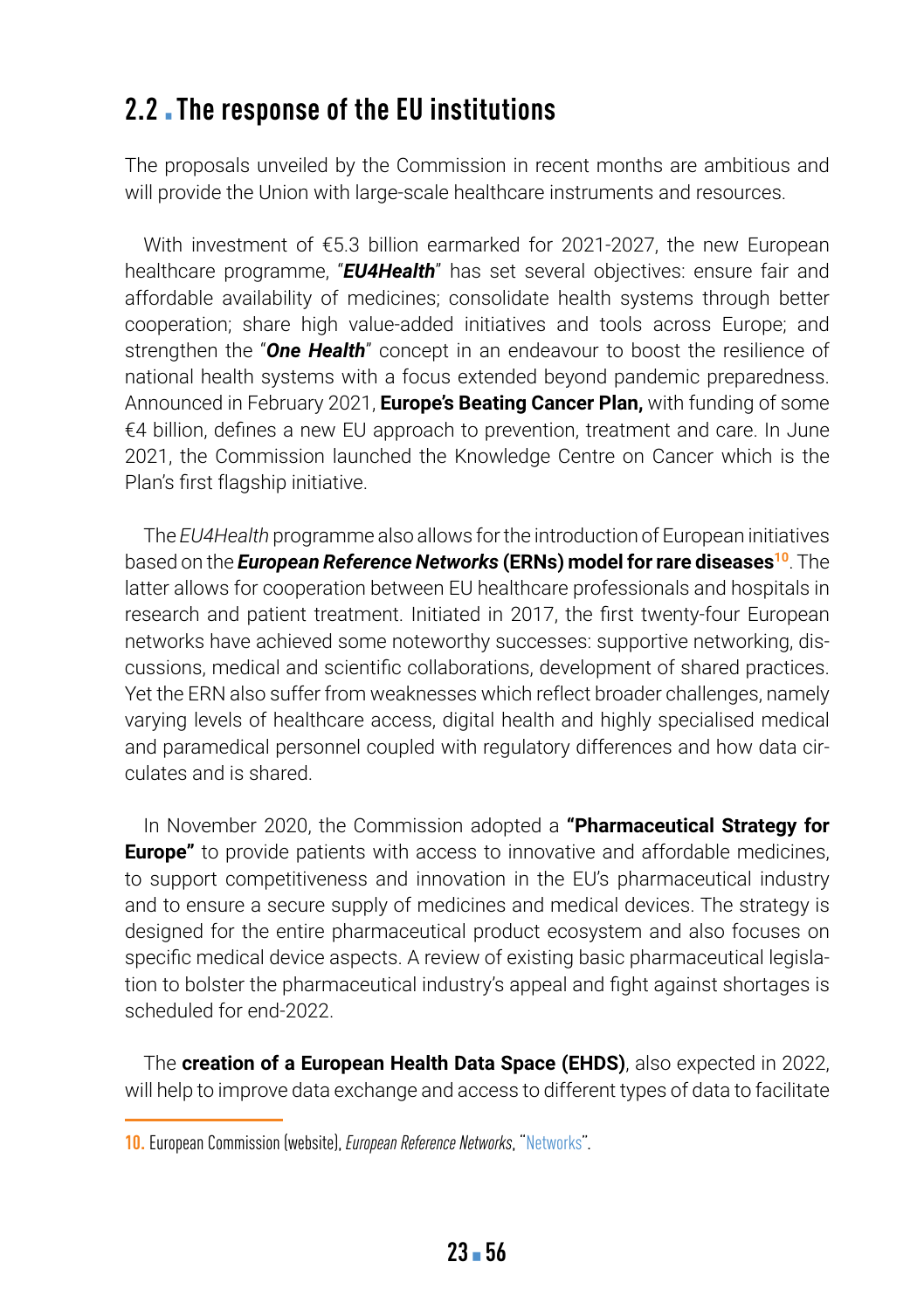### **2.2** The response of the EU institutions

The proposals unveiled by the Commission in recent months are ambitious and will provide the Union with large-scale healthcare instruments and resources.

With investment of €5.3 billion earmarked for 2021-2027, the new European healthcare programme, "*EU4Health*" has set several objectives: ensure fair and affordable availability of medicines; consolidate health systems through better cooperation; share high value-added initiatives and tools across Europe; and strengthen the "*One Health*" concept in an endeavour to boost the resilience of national health systems with a focus extended beyond pandemic preparedness. Announced in February 2021, **Europe's Beating Cancer Plan,** with funding of some €4 billion, defines a new EU approach to prevention, treatment and care. In June 2021, the Commission launched the Knowledge Centre on Cancer which is the Plan's first flagship initiative.

The *EU4Health* programme also allows for the introduction of European initiatives based on the *European Reference Networks* (ERNs) model for rare diseases<sup>10</sup>. The latter allows for cooperation between EU healthcare professionals and hospitals in research and patient treatment. Initiated in 2017, the first twenty-four European networks have achieved some noteworthy successes: supportive networking, discussions, medical and scientific collaborations, development of shared practices. Yet the ERN also suffer from weaknesses which reflect broader challenges, namely varying levels of healthcare access, digital health and highly specialised medical and paramedical personnel coupled with regulatory differences and how data circulates and is shared.

In November 2020, the Commission adopted a **"Pharmaceutical Strategy for Europe"** to provide patients with access to innovative and affordable medicines, to support competitiveness and innovation in the EU's pharmaceutical industry and to ensure a secure supply of medicines and medical devices. The strategy is designed for the entire pharmaceutical product ecosystem and also focuses on specific medical device aspects. A review of existing basic pharmaceutical legislation to bolster the pharmaceutical industry's appeal and fight against shortages is scheduled for end-2022.

The **creation of a European Health Data Space (EHDS)**, also expected in 2022, will help to improve data exchange and access to different types of data to facilitate

**<sup>10.</sup>** European Commission (website), *European Reference Networks*, ["Networks](https://ec.europa.eu/health/ern/networks_en)".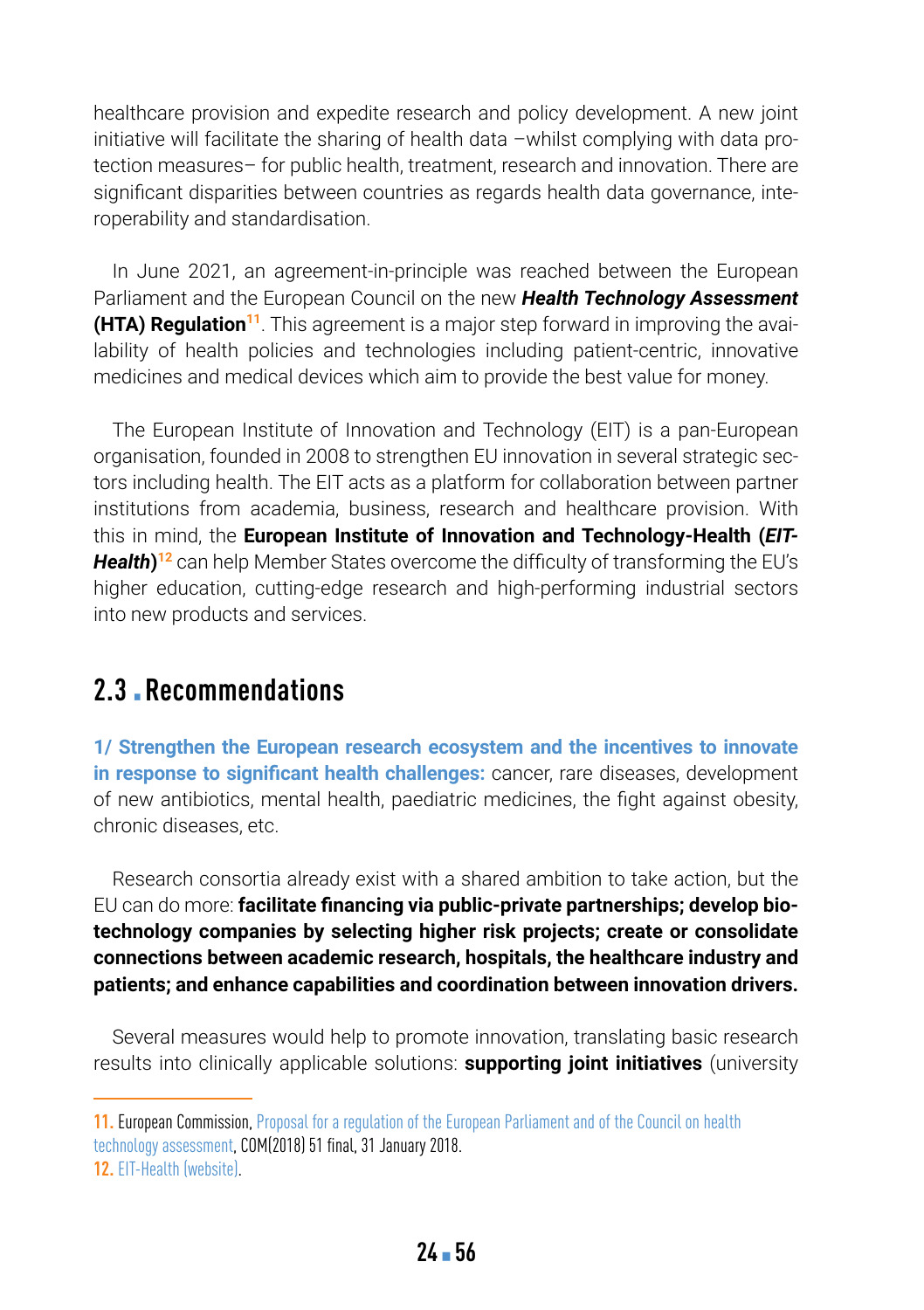healthcare provision and expedite research and policy development. A new joint initiative will facilitate the sharing of health data –whilst complying with data protection measures– for public health, treatment, research and innovation. There are significant disparities between countries as regards health data governance, interoperability and standardisation.

In June 2021, an agreement-in-principle was reached between the European Parliament and the European Council on the new *Health Technology Assessment* **(HTA) Regulation<sup>11</sup>**. This agreement is a major step forward in improving the availability of health policies and technologies including patient-centric, innovative medicines and medical devices which aim to provide the best value for money.

The European Institute of Innovation and Technology (EIT) is a pan-European organisation, founded in 2008 to strengthen EU innovation in several strategic sectors including health. The EIT acts as a platform for collaboration between partner institutions from academia, business, research and healthcare provision. With this in mind, the **European Institute of Innovation and Technology-Health (***EIT-Health***) <sup>12</sup>** can help Member States overcome the difficulty of transforming the EU's higher education, cutting-edge research and high-performing industrial sectors into new products and services.

### **2.3** ▪ **Recommendations**

**1/ Strengthen the European research ecosystem and the incentives to innovate in response to significant health challenges:** cancer, rare diseases, development of new antibiotics, mental health, paediatric medicines, the fight against obesity, chronic diseases, etc.

Research consortia already exist with a shared ambition to take action, but the EU can do more: **facilitate financing via public-private partnerships; develop biotechnology companies by selecting higher risk projects; create or consolidate connections between academic research, hospitals, the healthcare industry and patients; and enhance capabilities and coordination between innovation drivers.**

Several measures would help to promote innovation, translating basic research results into clinically applicable solutions: **supporting joint initiatives** (university

**<sup>11.</sup>** European Commission, [Proposal for a regulation of the European Parliament and of the Council on health](https://eur-lex.europa.eu/legal-content/EN/TXT/PDF/?uri=CELEX:52018PC0051&from=EN)  [technology assessment](https://eur-lex.europa.eu/legal-content/EN/TXT/PDF/?uri=CELEX:52018PC0051&from=EN), COM(2018) 51 final, 31 January 2018.

**<sup>12.</sup>** [EIT-Health \(website\)](https://eithealth.eu/).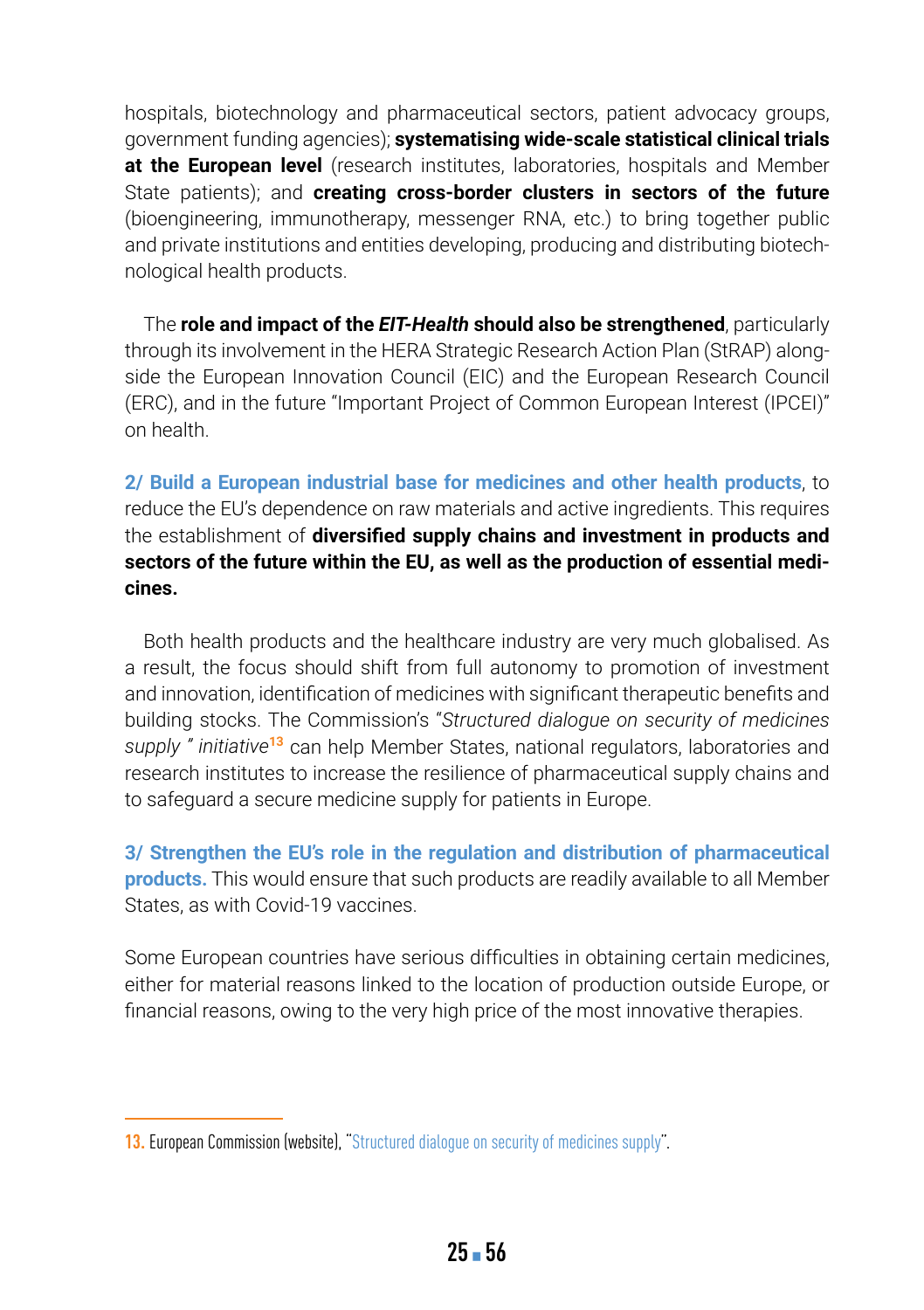hospitals, biotechnology and pharmaceutical sectors, patient advocacy groups, government funding agencies); **systematising wide-scale statistical clinical trials at the European level** (research institutes, laboratories, hospitals and Member State patients); and **creating cross-border clusters in sectors of the future** (bioengineering, immunotherapy, messenger RNA, etc.) to bring together public and private institutions and entities developing, producing and distributing biotechnological health products.

The **role and impact of the** *EIT-Health* **should also be strengthened**, particularly through its involvement in the HERA Strategic Research Action Plan (StRAP) alongside the European Innovation Council (EIC) and the European Research Council (ERC), and in the future "Important Project of Common European Interest (IPCEI)" on health.

**2/ Build a European industrial base for medicines and other health products**, to reduce the EU's dependence on raw materials and active ingredients. This requires the establishment of **diversified supply chains and investment in products and sectors of the future within the EU, as well as the production of essential medicines.**

Both health products and the healthcare industry are very much globalised. As a result, the focus should shift from full autonomy to promotion of investment and innovation, identification of medicines with significant therapeutic benefits and building stocks. The Commission's "*Structured dialogue on security of medicines supply " initiative***<sup>13</sup>** can help Member States, national regulators, laboratories and research institutes to increase the resilience of pharmaceutical supply chains and to safeguard a secure medicine supply for patients in Europe.

**3/ Strengthen the EU's role in the regulation and distribution of pharmaceutical products.** This would ensure that such products are readily available to all Member States, as with Covid-19 vaccines.

Some European countries have serious difficulties in obtaining certain medicines, either for material reasons linked to the location of production outside Europe, or financial reasons, owing to the very high price of the most innovative therapies.

**<sup>13.</sup> European Commission (website), ["Structured dialogue on security of medicines supply](https://ec.europa.eu/health/human-use/strategy/dialogue_medicines-supply_fr)".**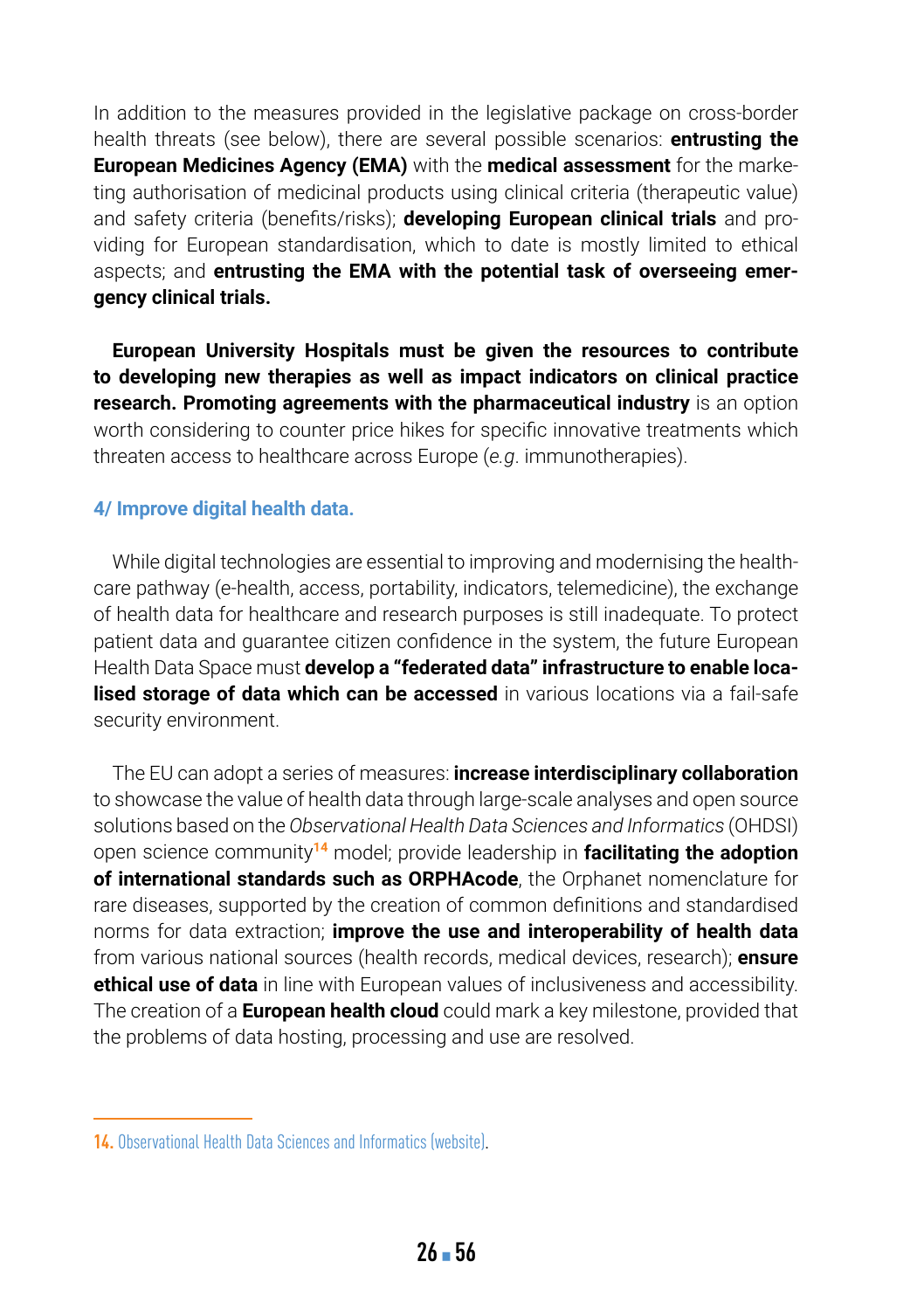In addition to the measures provided in the legislative package on cross-border health threats (see below), there are several possible scenarios: **entrusting the European Medicines Agency (EMA)** with the **medical assessment** for the marketing authorisation of medicinal products using clinical criteria (therapeutic value) and safety criteria (benefits/risks); **developing European clinical trials** and providing for European standardisation, which to date is mostly limited to ethical aspects; and **entrusting the EMA with the potential task of overseeing emergency clinical trials.**

**European University Hospitals must be given the resources to contribute to developing new therapies as well as impact indicators on clinical practice research. Promoting agreements with the pharmaceutical industry** is an option worth considering to counter price hikes for specific innovative treatments which threaten access to healthcare across Europe (*e.g*. immunotherapies).

#### **4/ Improve digital health data.**

While digital technologies are essential to improving and modernising the healthcare pathway (e-health, access, portability, indicators, telemedicine), the exchange of health data for healthcare and research purposes is still inadequate. To protect patient data and guarantee citizen confidence in the system, the future European Health Data Space must **develop a "federated data" infrastructure to enable localised storage of data which can be accessed** in various locations via a fail-safe security environment.

The EU can adopt a series of measures: **increase interdisciplinary collaboration** to showcase the value of health data through large-scale analyses and open source solutions based on the *Observational Health Data Sciences and Informatics* (OHDSI) open science community**<sup>14</sup>** model; provide leadership in **facilitating the adoption of international standards such as ORPHAcode**, the Orphanet nomenclature for rare diseases, supported by the creation of common definitions and standardised norms for data extraction; **improve the use and interoperability of health data** from various national sources (health records, medical devices, research); **ensure ethical use of data** in line with European values of inclusiveness and accessibility. The creation of a **European health cloud** could mark a key milestone, provided that the problems of data hosting, processing and use are resolved.

**<sup>14.</sup>** [Observational Health Data Sciences and Informatics \(website\)](https://ohdsi.org/).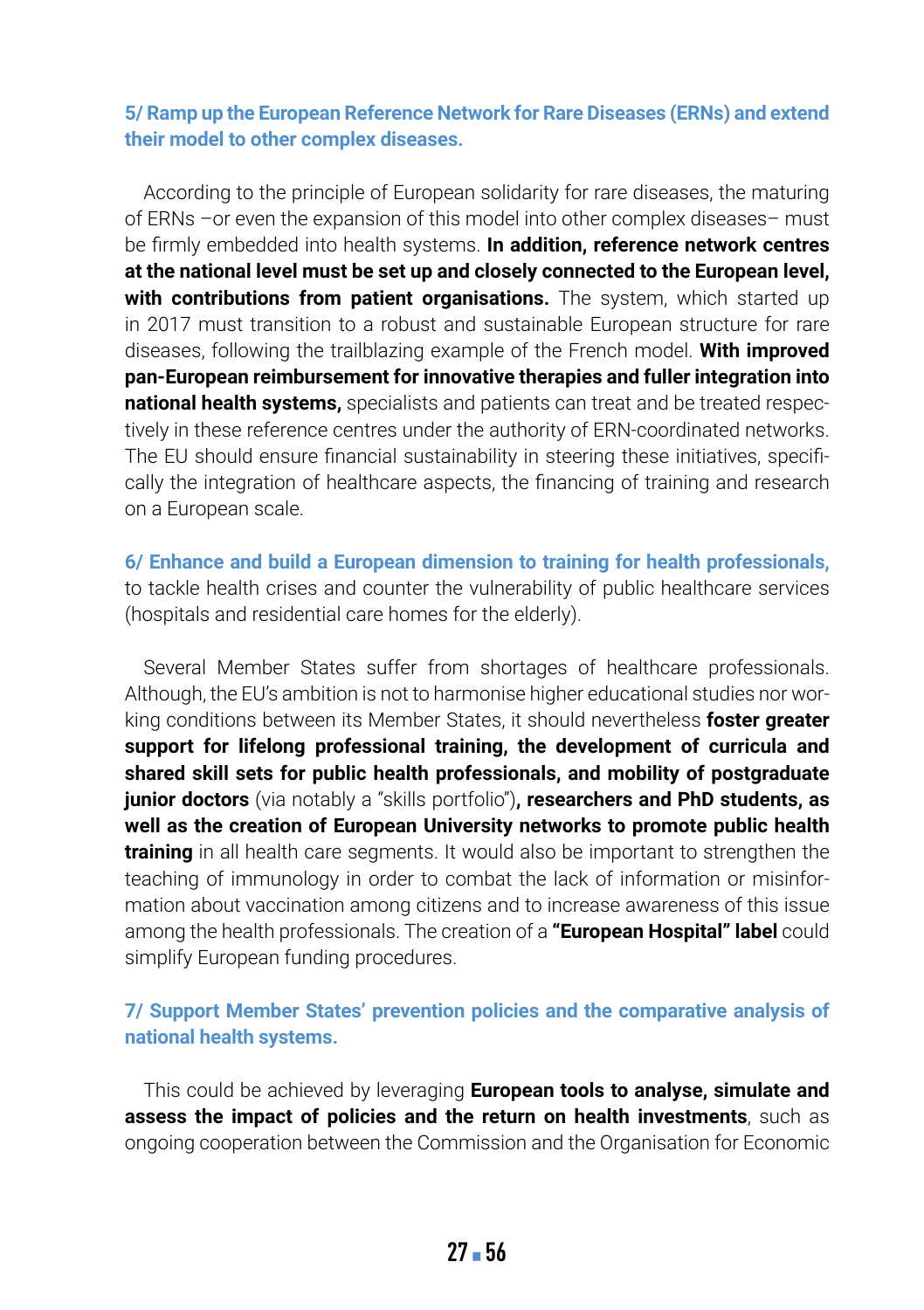#### **5/ Ramp up the European Reference Network for Rare Diseases (ERNs) and extend their model to other complex diseases.**

According to the principle of European solidarity for rare diseases, the maturing of ERNs –or even the expansion of this model into other complex diseases– must be firmly embedded into health systems. **In addition, reference network centres at the national level must be set up and closely connected to the European level, with contributions from patient organisations.** The system, which started up in 2017 must transition to a robust and sustainable European structure for rare diseases, following the trailblazing example of the French model. **With improved pan-European reimbursement for innovative therapies and fuller integration into national health systems,** specialists and patients can treat and be treated respectively in these reference centres under the authority of ERN-coordinated networks. The EU should ensure financial sustainability in steering these initiatives, specifically the integration of healthcare aspects, the financing of training and research on a European scale.

**6/ Enhance and build a European dimension to training for health professionals,** to tackle health crises and counter the vulnerability of public healthcare services (hospitals and residential care homes for the elderly).

Several Member States suffer from shortages of healthcare professionals. Although, the EU's ambition is not to harmonise higher educational studies nor working conditions between its Member States, it should nevertheless **foster greater support for lifelong professional training, the development of curricula and shared skill sets for public health professionals, and mobility of postgraduate junior doctors** (via notably a "skills portfolio")**, researchers and PhD students, as well as the creation of European University networks to promote public health training** in all health care segments. It would also be important to strengthen the teaching of immunology in order to combat the lack of information or misinformation about vaccination among citizens and to increase awareness of this issue among the health professionals. The creation of a **"European Hospital" label** could simplify European funding procedures.

#### **7/ Support Member States' prevention policies and the comparative analysis of national health systems.**

This could be achieved by leveraging **European tools to analyse, simulate and assess the impact of policies and the return on health investments**, such as ongoing cooperation between the Commission and the Organisation for Economic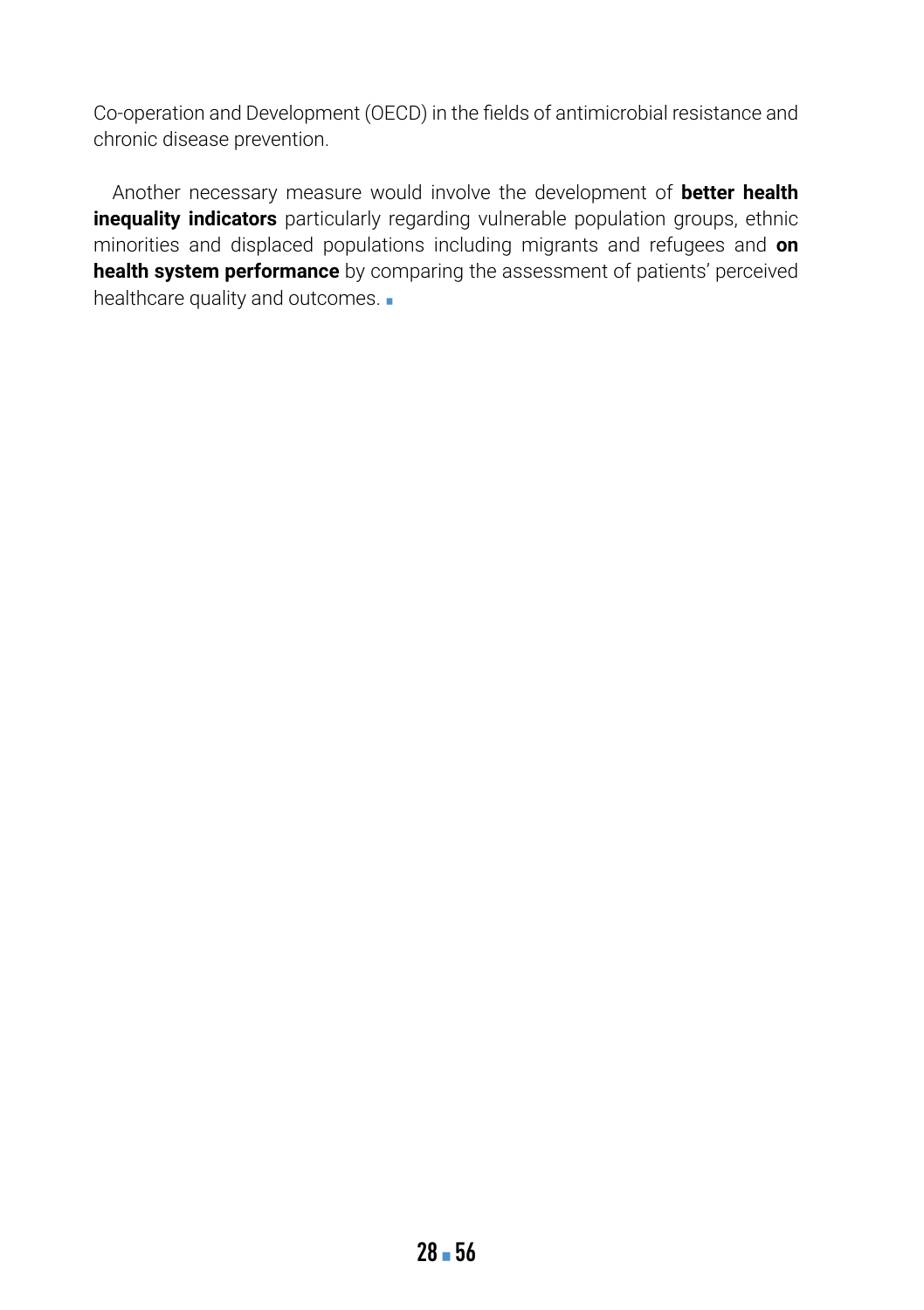Co-operation and Development (OECD) in the fields of antimicrobial resistance and chronic disease prevention.

Another necessary measure would involve the development of **better health inequality indicators** particularly regarding vulnerable population groups, ethnic minorities and displaced populations including migrants and refugees and **on health system performance** by comparing the assessment of patients' perceived healthcare quality and outcomes. .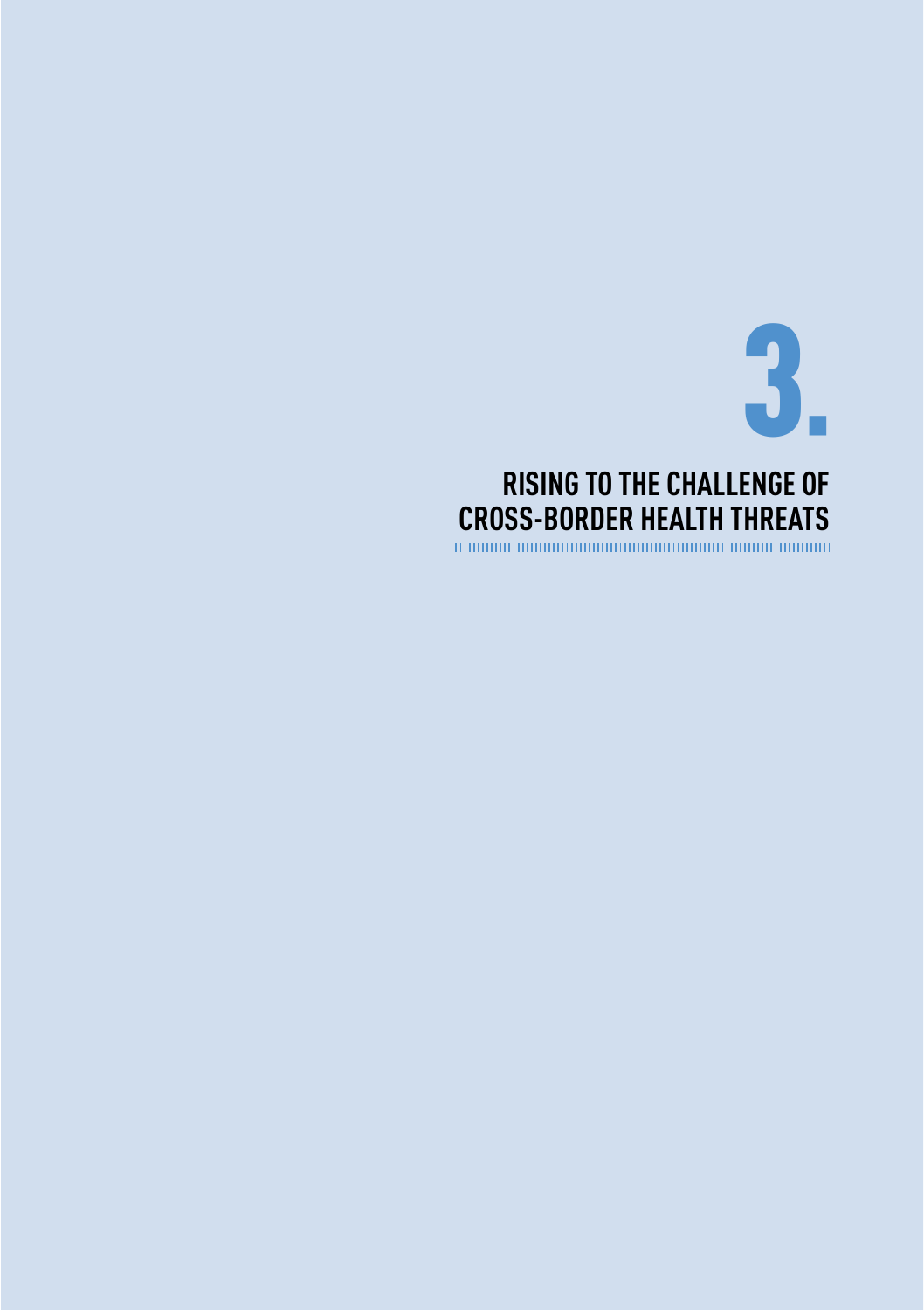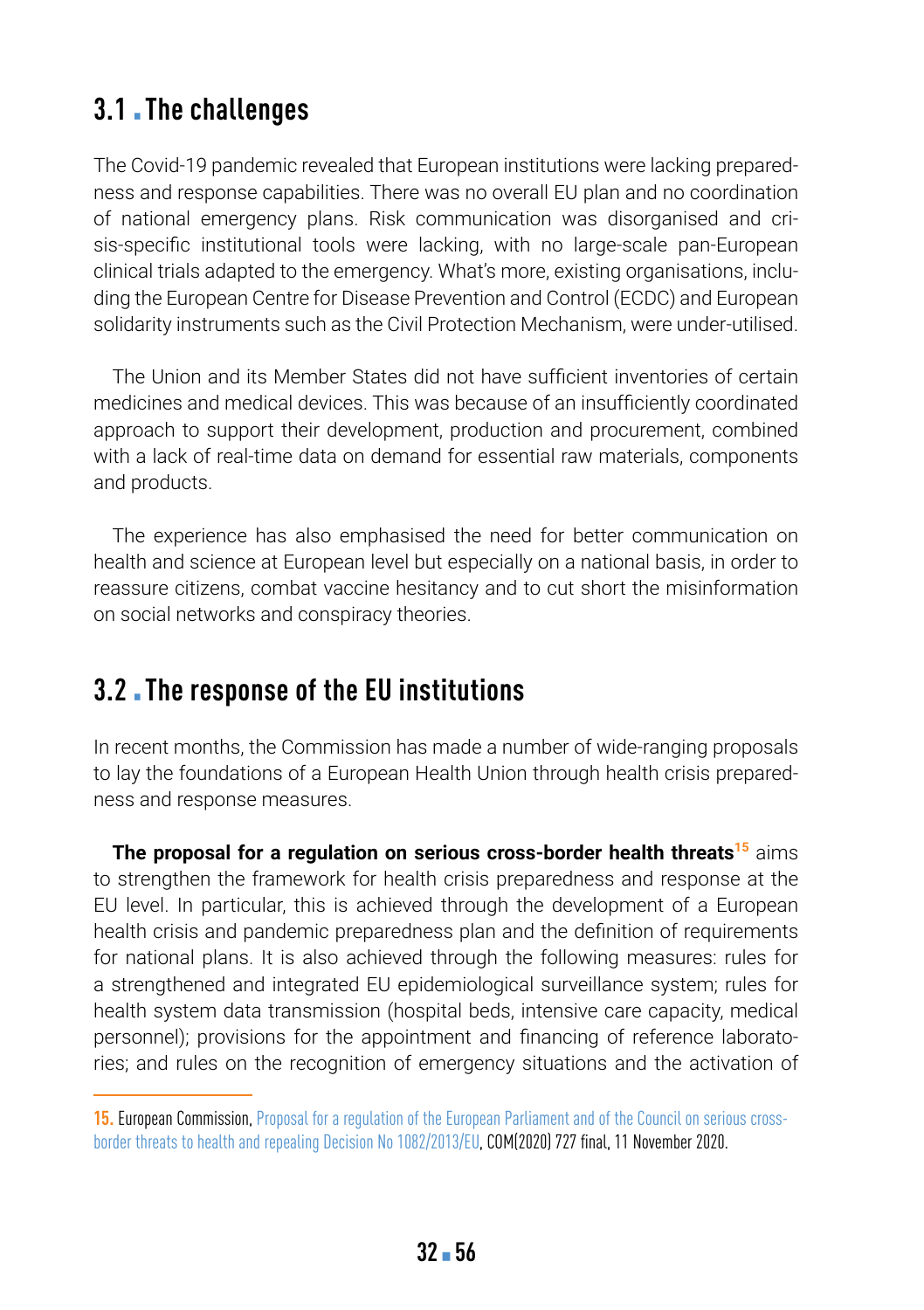### **3.1** Ihe challenges

The Covid-19 pandemic revealed that European institutions were lacking preparedness and response capabilities. There was no overall EU plan and no coordination of national emergency plans. Risk communication was disorganised and crisis-specific institutional tools were lacking, with no large-scale pan-European clinical trials adapted to the emergency. What's more, existing organisations, including the European Centre for Disease Prevention and Control (ECDC) and European solidarity instruments such as the Civil Protection Mechanism, were under-utilised.

The Union and its Member States did not have sufficient inventories of certain medicines and medical devices. This was because of an insufficiently coordinated approach to support their development, production and procurement, combined with a lack of real-time data on demand for essential raw materials, components and products.

The experience has also emphasised the need for better communication on health and science at European level but especially on a national basis, in order to reassure citizens, combat vaccine hesitancy and to cut short the misinformation on social networks and conspiracy theories.

### **3.2** . The response of the EU institutions

In recent months, the Commission has made a number of wide-ranging proposals to lay the foundations of a European Health Union through health crisis preparedness and response measures.

**The proposal for a regulation on serious cross-border health threats<sup>15</sup> aims** to strengthen the framework for health crisis preparedness and response at the EU level. In particular, this is achieved through the development of a European health crisis and pandemic preparedness plan and the definition of requirements for national plans. It is also achieved through the following measures: rules for a strengthened and integrated EU epidemiological surveillance system; rules for health system data transmission (hospital beds, intensive care capacity, medical personnel); provisions for the appointment and financing of reference laboratories; and rules on the recognition of emergency situations and the activation of

**<sup>15.</sup>** European Commission, [Proposal for a regulation of the European Parliament and of the Council on serious cross](https://eur-lex.europa.eu/legal-content/EN/ALL/?uri=CELEX:52020PC0727)[border threats to health and repealing Decision No 1082/2013/EU](https://eur-lex.europa.eu/legal-content/EN/ALL/?uri=CELEX:52020PC0727), COM(2020) 727 final, 11 November 2020.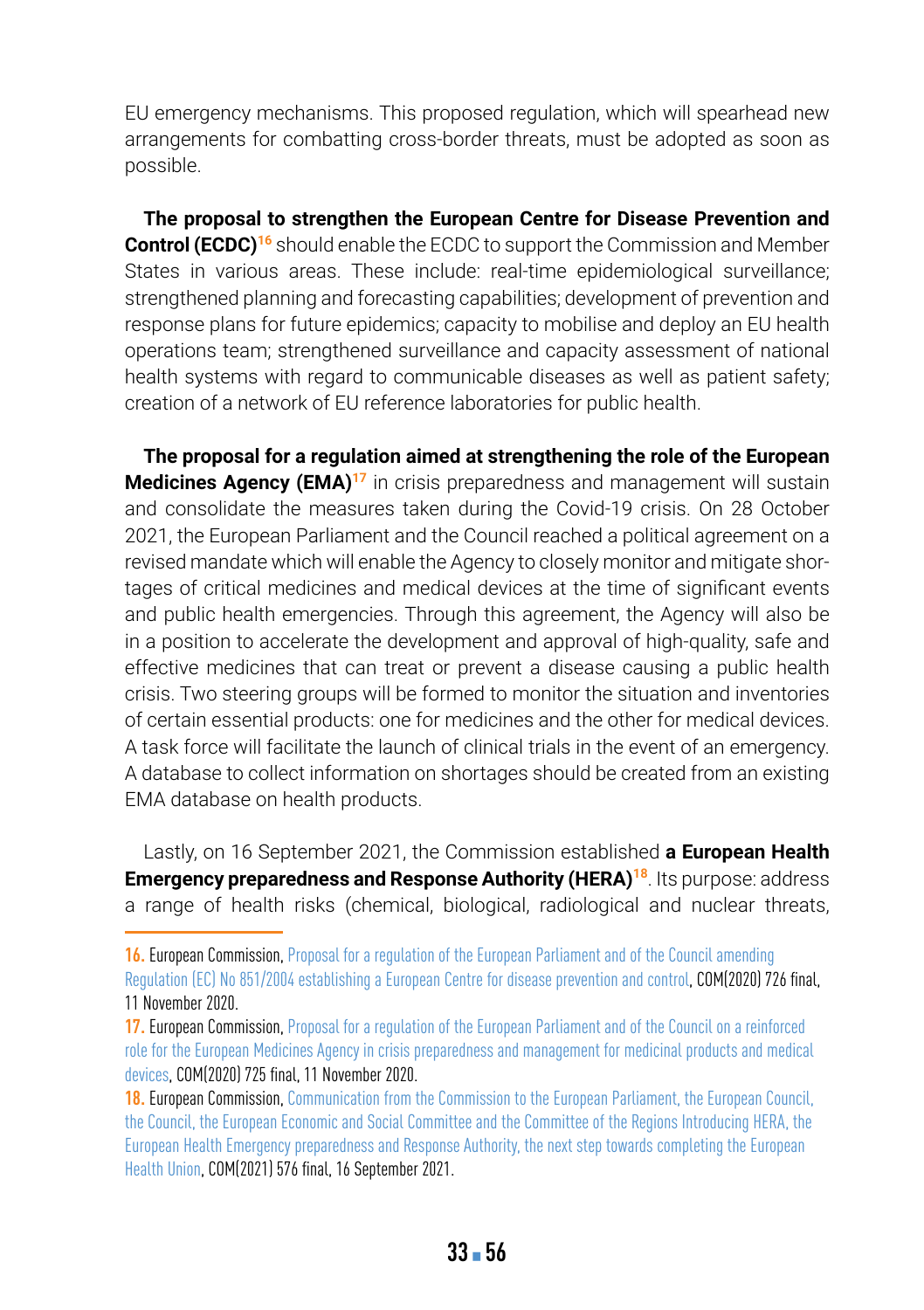EU emergency mechanisms. This proposed regulation, which will spearhead new arrangements for combatting cross-border threats, must be adopted as soon as possible.

**The proposal to strengthen the European Centre for Disease Prevention and Control (ECDC)<sup>16</sup>** should enable the ECDC to support the Commission and Member States in various areas. These include: real-time epidemiological surveillance; strengthened planning and forecasting capabilities; development of prevention and response plans for future epidemics; capacity to mobilise and deploy an EU health operations team; strengthened surveillance and capacity assessment of national health systems with regard to communicable diseases as well as patient safety; creation of a network of EU reference laboratories for public health.

**The proposal for a regulation aimed at strengthening the role of the European Medicines Agency (EMA)<sup>17</sup>** in crisis preparedness and management will sustain and consolidate the measures taken during the Covid-19 crisis. On 28 October 2021, the European Parliament and the Council reached a political agreement on a revised mandate which will enable the Agency to closely monitor and mitigate shortages of critical medicines and medical devices at the time of significant events and public health emergencies. Through this agreement, the Agency will also be in a position to accelerate the development and approval of high-quality, safe and effective medicines that can treat or prevent a disease causing a public health crisis. Two steering groups will be formed to monitor the situation and inventories of certain essential products: one for medicines and the other for medical devices. A task force will facilitate the launch of clinical trials in the event of an emergency. A database to collect information on shortages should be created from an existing EMA database on health products.

Lastly, on 16 September 2021, the Commission established **a European Health Emergency preparedness and Response Authority (HERA)<sup>18</sup>. Its purpose: address** a range of health risks (chemical, biological, radiological and nuclear threats,

**<sup>16.</sup>** European Commission, [Proposal for a regulation of the European Parliament and of the Council amending](https://eur-lex.europa.eu/legal-content/EN/TXT/?uri=CELEX:52020PC0726)  [Regulation \(EC\) No 851/2004 establishing a European Centre for disease prevention and control](https://eur-lex.europa.eu/legal-content/EN/TXT/?uri=CELEX:52020PC0726), COM(2020) 726 final, 11 November 2020.

**<sup>17.</sup>** European Commission, [Proposal for a regulation of the European Parliament and of the Council on a reinforced](https://eur-lex.europa.eu/legal-content/EN/TXT/?uri=CELEX:52020PC0725)  [role for the European Medicines Agency in crisis preparedness and management for medicinal products and medical](https://eur-lex.europa.eu/legal-content/EN/TXT/?uri=CELEX:52020PC0725)  [devices](https://eur-lex.europa.eu/legal-content/EN/TXT/?uri=CELEX:52020PC0725), COM(2020) 725 final, 11 November 2020.

**<sup>18.</sup>** European Commission, [Communication from the Commission to the European Parliament, the European Council,](https://eur-lex.europa.eu/legal-content/EN/TXT/?uri=COM:2021:0576:FIN)  [the Council, the European Economic and Social Committee and the Committee of the Regions Introducing HERA, the](https://eur-lex.europa.eu/legal-content/EN/TXT/?uri=COM:2021:0576:FIN)  [European Health Emergency preparedness and Response Authority, the next step towards completing the European](https://eur-lex.europa.eu/legal-content/EN/TXT/?uri=COM:2021:0576:FIN)  [Health Union](https://eur-lex.europa.eu/legal-content/EN/TXT/?uri=COM:2021:0576:FIN), COM(2021) 576 final, 16 September 2021.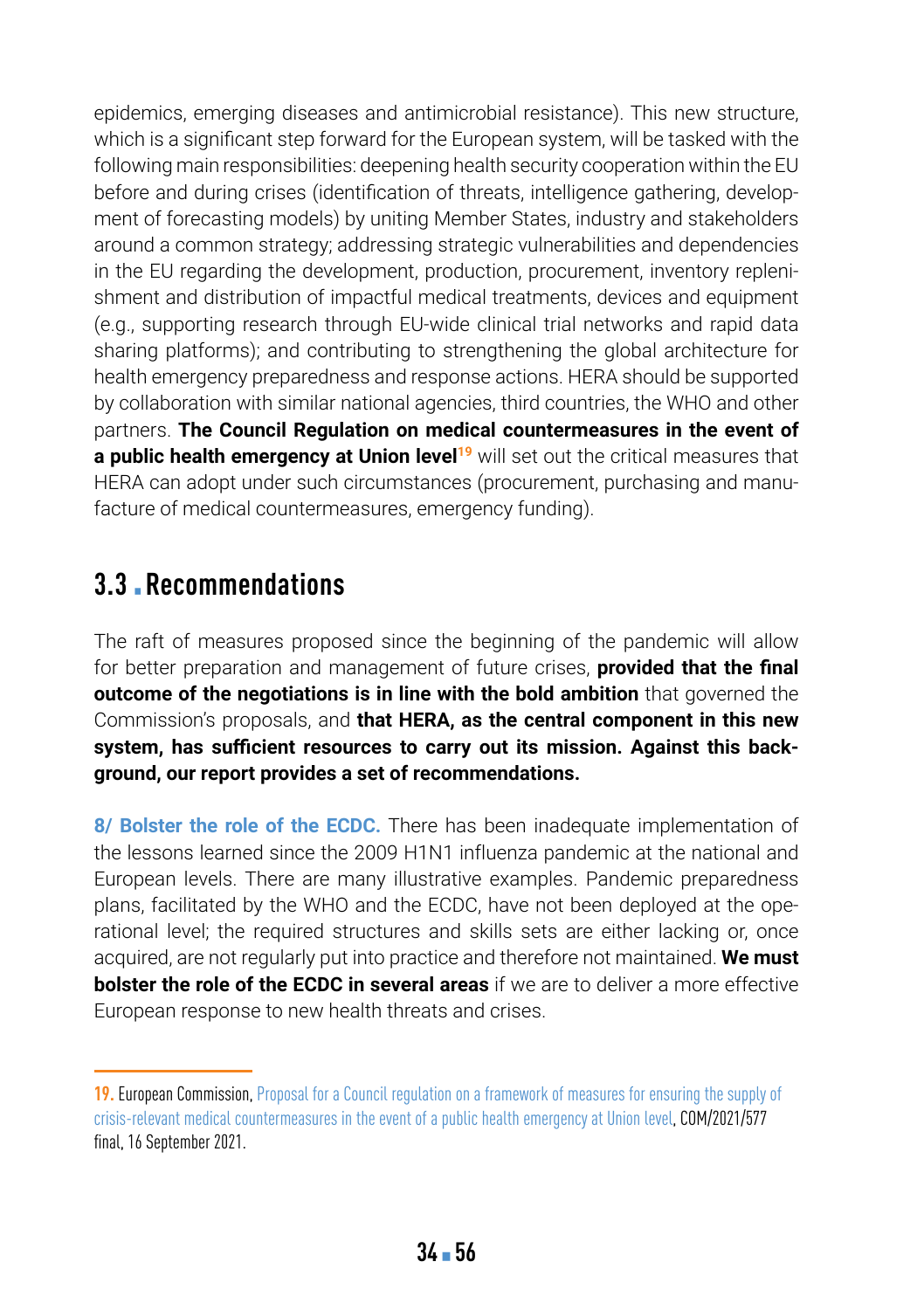epidemics, emerging diseases and antimicrobial resistance). This new structure, which is a significant step forward for the European system, will be tasked with the following main responsibilities: deepening health security cooperation within the EU before and during crises (identification of threats, intelligence gathering, development of forecasting models) by uniting Member States, industry and stakeholders around a common strategy; addressing strategic vulnerabilities and dependencies in the EU regarding the development, production, procurement, inventory replenishment and distribution of impactful medical treatments, devices and equipment (e.g., supporting research through EU-wide clinical trial networks and rapid data sharing platforms); and contributing to strengthening the global architecture for health emergency preparedness and response actions. HERA should be supported by collaboration with similar national agencies, third countries, the WHO and other partners. **The Council Regulation on medical countermeasures in the event of a public health emergency at Union level<sup>19</sup> will set out the critical measures that** HERA can adopt under such circumstances (procurement, purchasing and manufacture of medical countermeasures, emergency funding).

### **3.3** ▪ **Recommendations**

The raft of measures proposed since the beginning of the pandemic will allow for better preparation and management of future crises, **provided that the final outcome of the negotiations is in line with the bold ambition** that governed the Commission's proposals, and **that HERA, as the central component in this new system, has sufficient resources to carry out its mission. Against this background, our report provides a set of recommendations.**

**8/ Bolster the role of the ECDC.** There has been inadequate implementation of the lessons learned since the 2009 H1N1 influenza pandemic at the national and European levels. There are many illustrative examples. Pandemic preparedness plans, facilitated by the WHO and the ECDC, have not been deployed at the operational level; the required structures and skills sets are either lacking or, once acquired, are not regularly put into practice and therefore not maintained. **We must bolster the role of the ECDC in several areas** if we are to deliver a more effective European response to new health threats and crises.

**<sup>19.</sup>** European Commission, [Proposal for a Council regulation on a framework of measures for ensuring the supply of](https://eur-lex.europa.eu/legal-content/EN/TXT/?uri=celex:52021PC0577)  [crisis-relevant medical countermeasures in the event of a public health emergency at Union level,](https://eur-lex.europa.eu/legal-content/EN/TXT/?uri=celex:52021PC0577) COM/2021/577 final, 16 September 2021.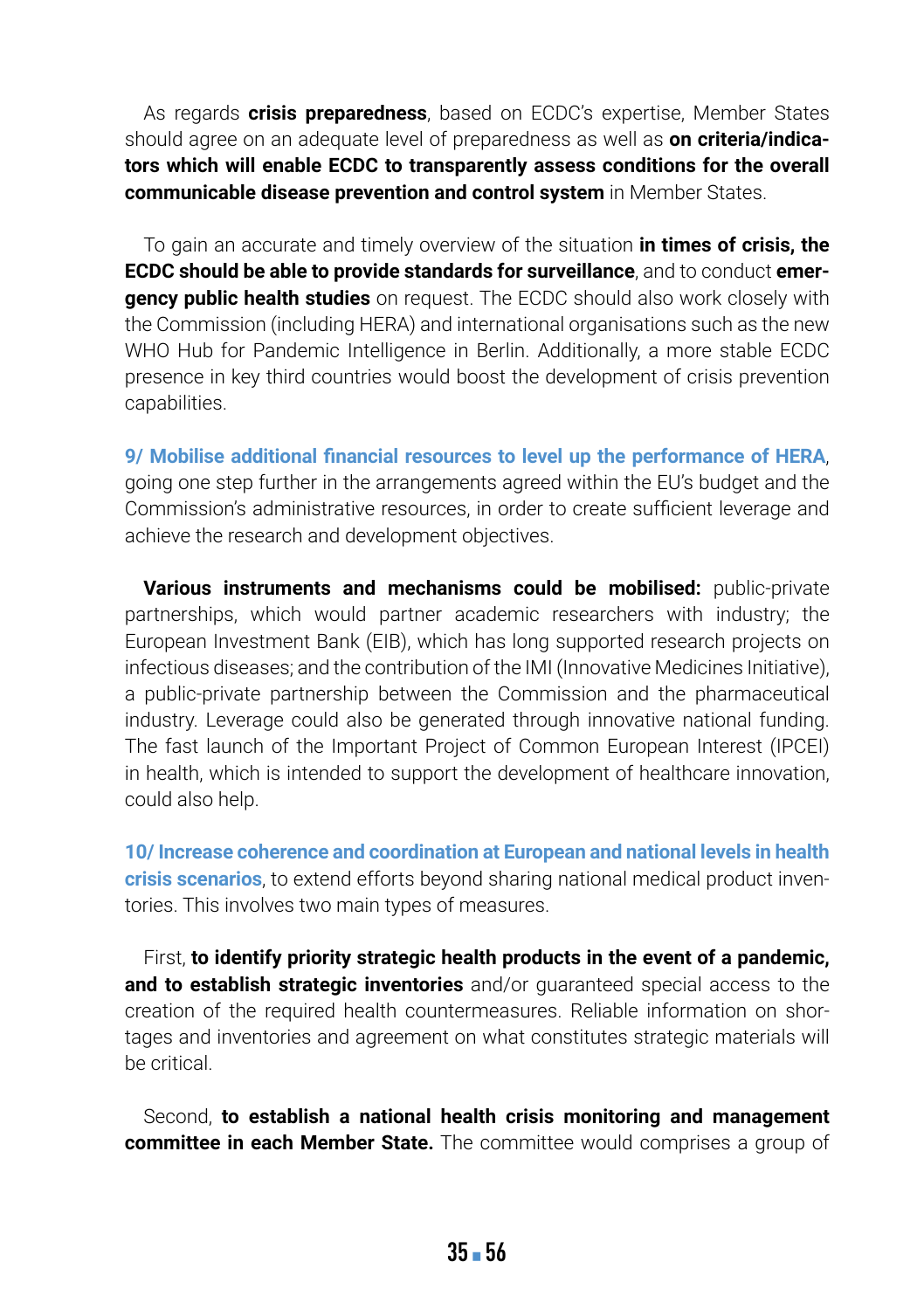As regards **crisis preparedness**, based on ECDC's expertise, Member States should agree on an adequate level of preparedness as well as **on criteria/indicators which will enable ECDC to transparently assess conditions for the overall communicable disease prevention and control system** in Member States.

To gain an accurate and timely overview of the situation **in times of crisis, the ECDC should be able to provide standards for surveillance**, and to conduct **emergency public health studies** on request. The ECDC should also work closely with the Commission (including HERA) and international organisations such as the new WHO Hub for Pandemic Intelligence in Berlin. Additionally, a more stable ECDC presence in key third countries would boost the development of crisis prevention capabilities.

**9/ Mobilise additional financial resources to level up the performance of HERA**, going one step further in the arrangements agreed within the EU's budget and the Commission's administrative resources, in order to create sufficient leverage and achieve the research and development objectives.

**Various instruments and mechanisms could be mobilised:** public-private partnerships, which would partner academic researchers with industry; the European Investment Bank (EIB), which has long supported research projects on infectious diseases; and the contribution of the IMI (Innovative Medicines Initiative), a public-private partnership between the Commission and the pharmaceutical industry. Leverage could also be generated through innovative national funding. The fast launch of the Important Project of Common European Interest (IPCEI) in health, which is intended to support the development of healthcare innovation, could also help.

**10/ Increase coherence and coordination at European and national levels in health crisis scenarios**, to extend efforts beyond sharing national medical product inventories. This involves two main types of measures.

First, **to identify priority strategic health products in the event of a pandemic, and to establish strategic inventories** and/or guaranteed special access to the creation of the required health countermeasures. Reliable information on shortages and inventories and agreement on what constitutes strategic materials will be critical.

Second, **to establish a national health crisis monitoring and management committee in each Member State.** The committee would comprises a group of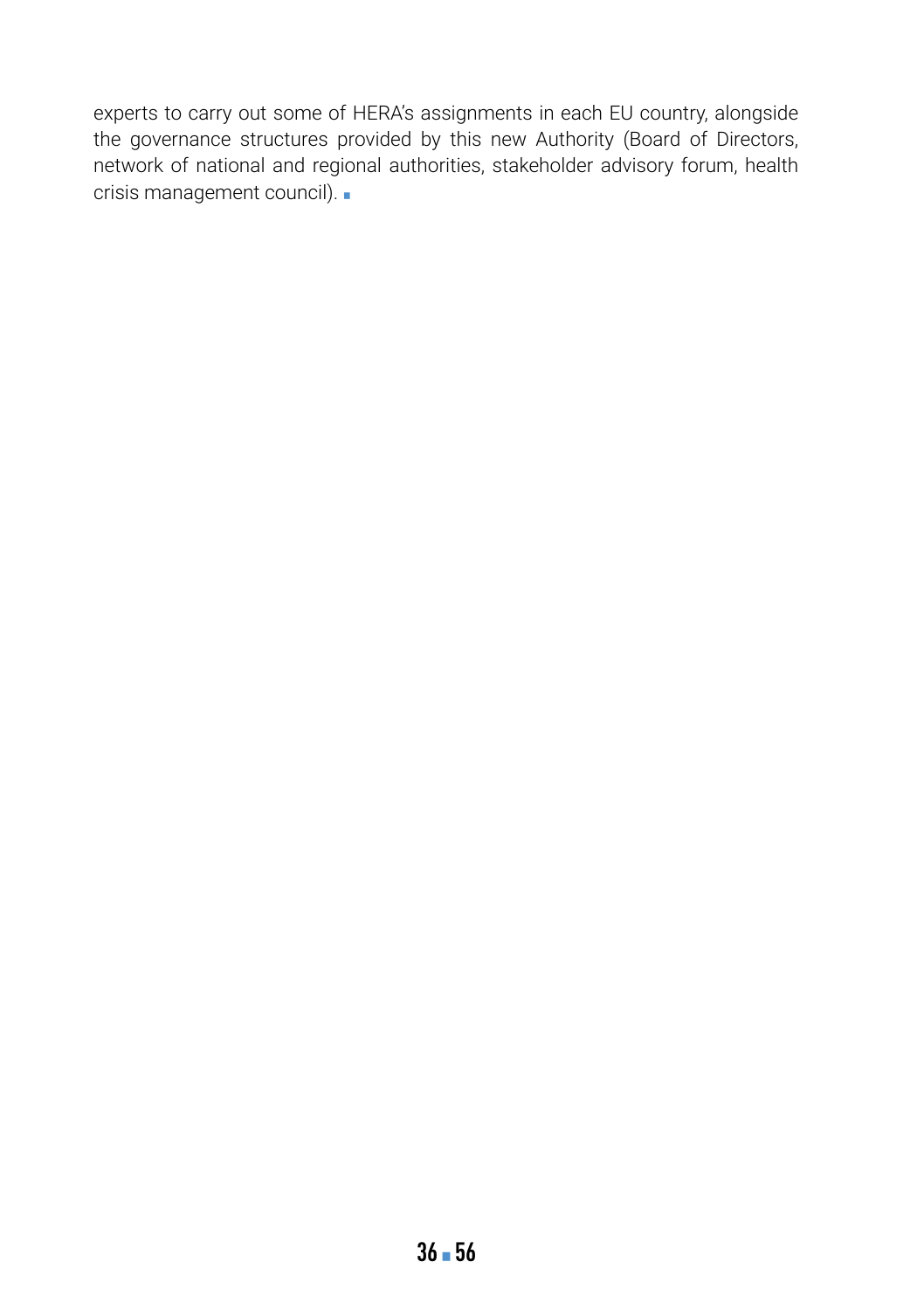experts to carry out some of HERA's assignments in each EU country, alongside the governance structures provided by this new Authority (Board of Directors, network of national and regional authorities, stakeholder advisory forum, health crisis management council). •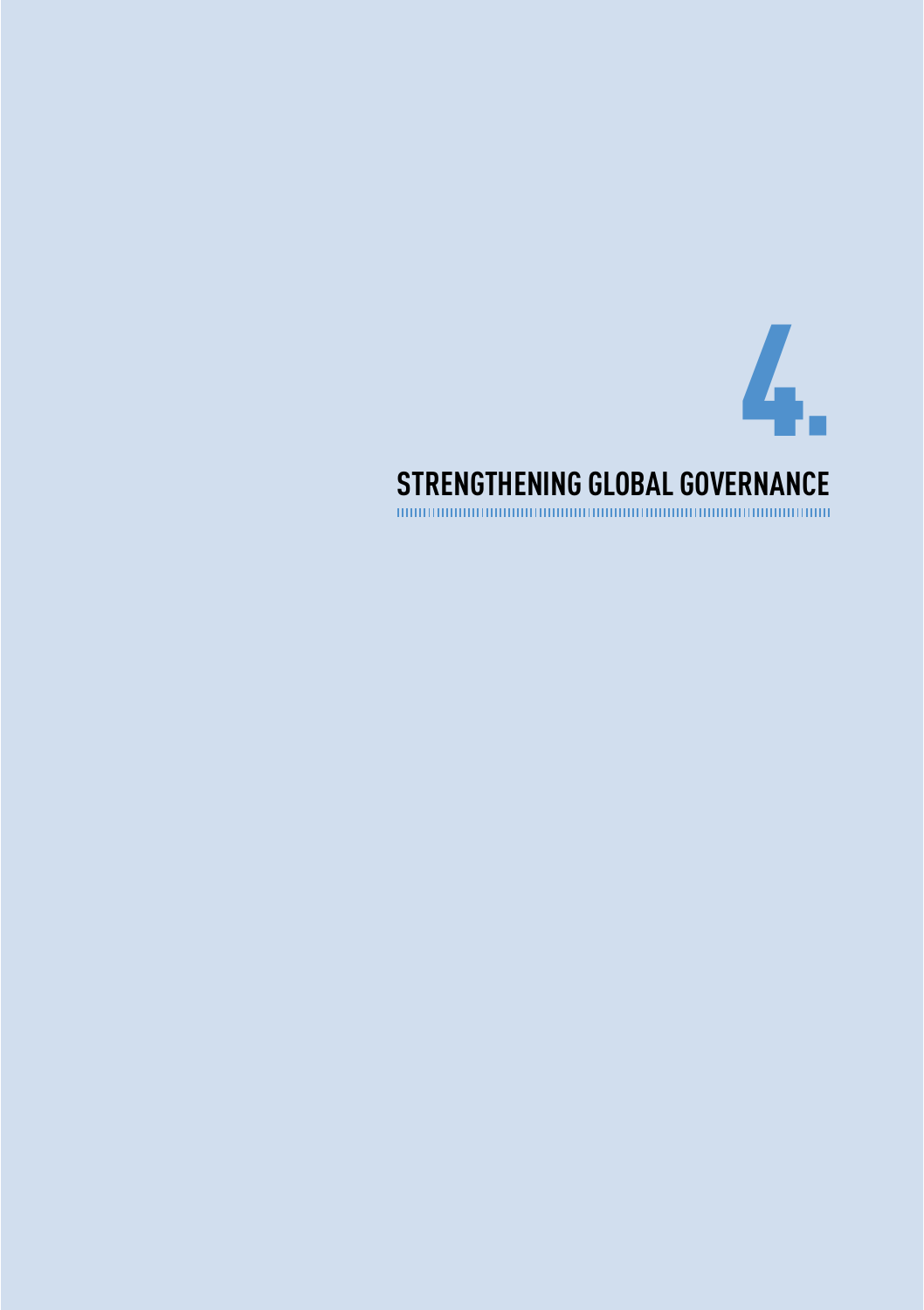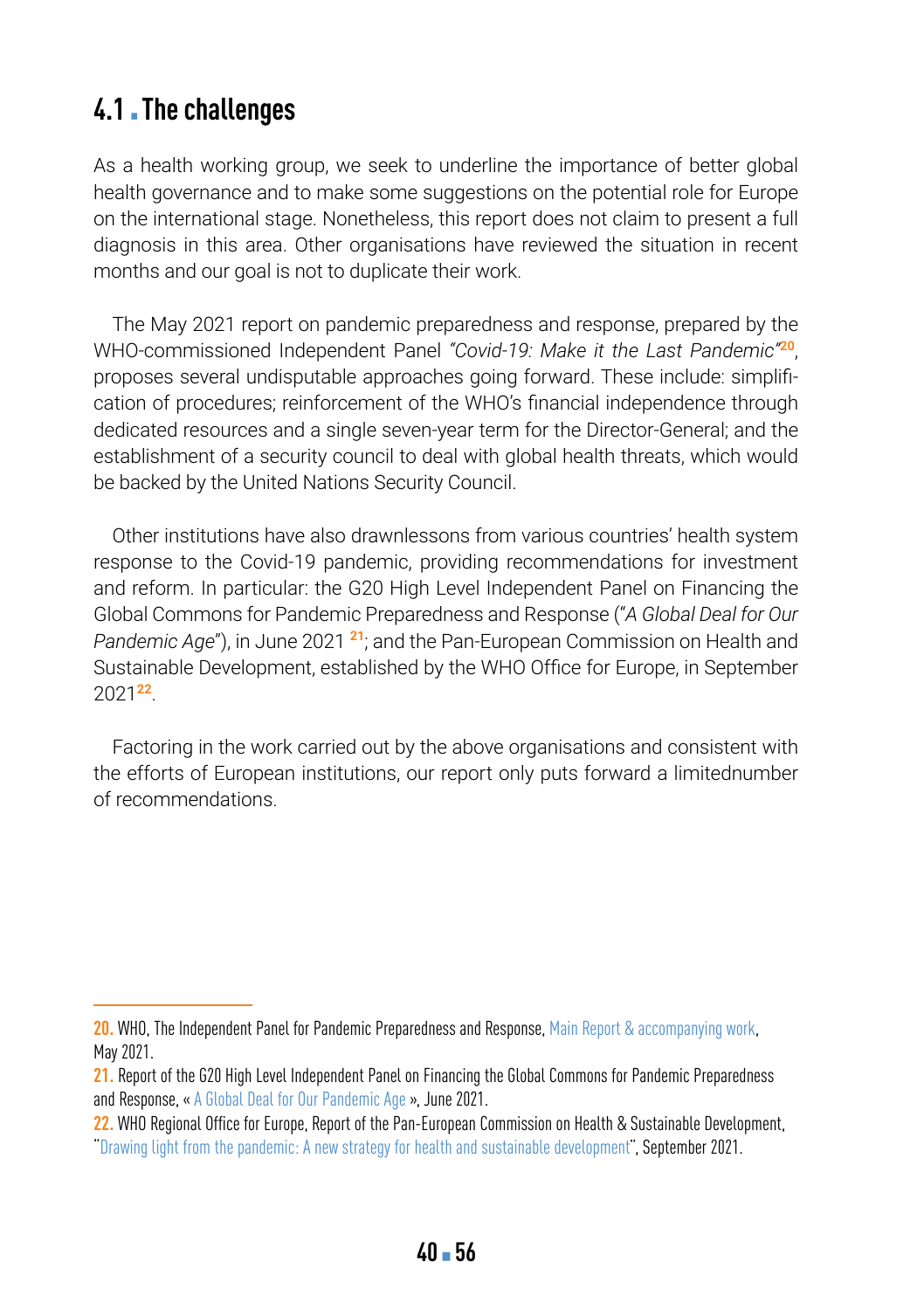### **4.1. The challenges**

As a health working group, we seek to underline the importance of better global health governance and to make some suggestions on the potential role for Europe on the international stage. Nonetheless, this report does not claim to present a full diagnosis in this area. Other organisations have reviewed the situation in recent months and our goal is not to duplicate their work.

The May 2021 report on pandemic preparedness and response, prepared by the WHO-commissioned Independent Panel *"Covid-19: Make it the Last Pandemic"***<sup>20</sup>**, proposes several undisputable approaches going forward. These include: simplification of procedures; reinforcement of the WHO's financial independence through dedicated resources and a single seven-year term for the Director-General; and the establishment of a security council to deal with global health threats, which would be backed by the United Nations Security Council.

Other institutions have also drawnlessons from various countries' health system response to the Covid-19 pandemic, providing recommendations for investment and reform. In particular: the G20 High Level Independent Panel on Financing the Global Commons for Pandemic Preparedness and Response ("*A Global Deal for Our Pandemic Age*"), in June 2021 **<sup>21</sup>**; and the Pan-European Commission on Health and Sustainable Development, established by the WHO Office for Europe, in September 2021**<sup>22</sup>**.

Factoring in the work carried out by the above organisations and consistent with the efforts of European institutions, our report only puts forward a limitednumber of recommendations.

**<sup>20.</sup>** WHO, The Independent Panel for Pandemic Preparedness and Response, [Main Report & accompanying work](https://theindependentpanel.org/mainreport/), May 2021.

**<sup>21.</sup>** Report of the G20 High Level Independent Panel on Financing the Global Commons for Pandemic Preparedness and Response, « [A Global Deal for Our Pandemic Age](https://www.g20.org/wp-content/uploads/2021/07/G20-HLIP-Report.pdf) », June 2021.

**<sup>22.</sup>** WHO Regional Office for Europe, Report of the Pan-European Commission on Health & Sustainable Development, ["Drawing light from the pandemic: A new strategy for health and sustainable development](https://www.euro.who.int/__data/assets/pdf_file/0015/511701/Pan-European-Commission-health-sustainable-development-eng.pdf)", September 2021.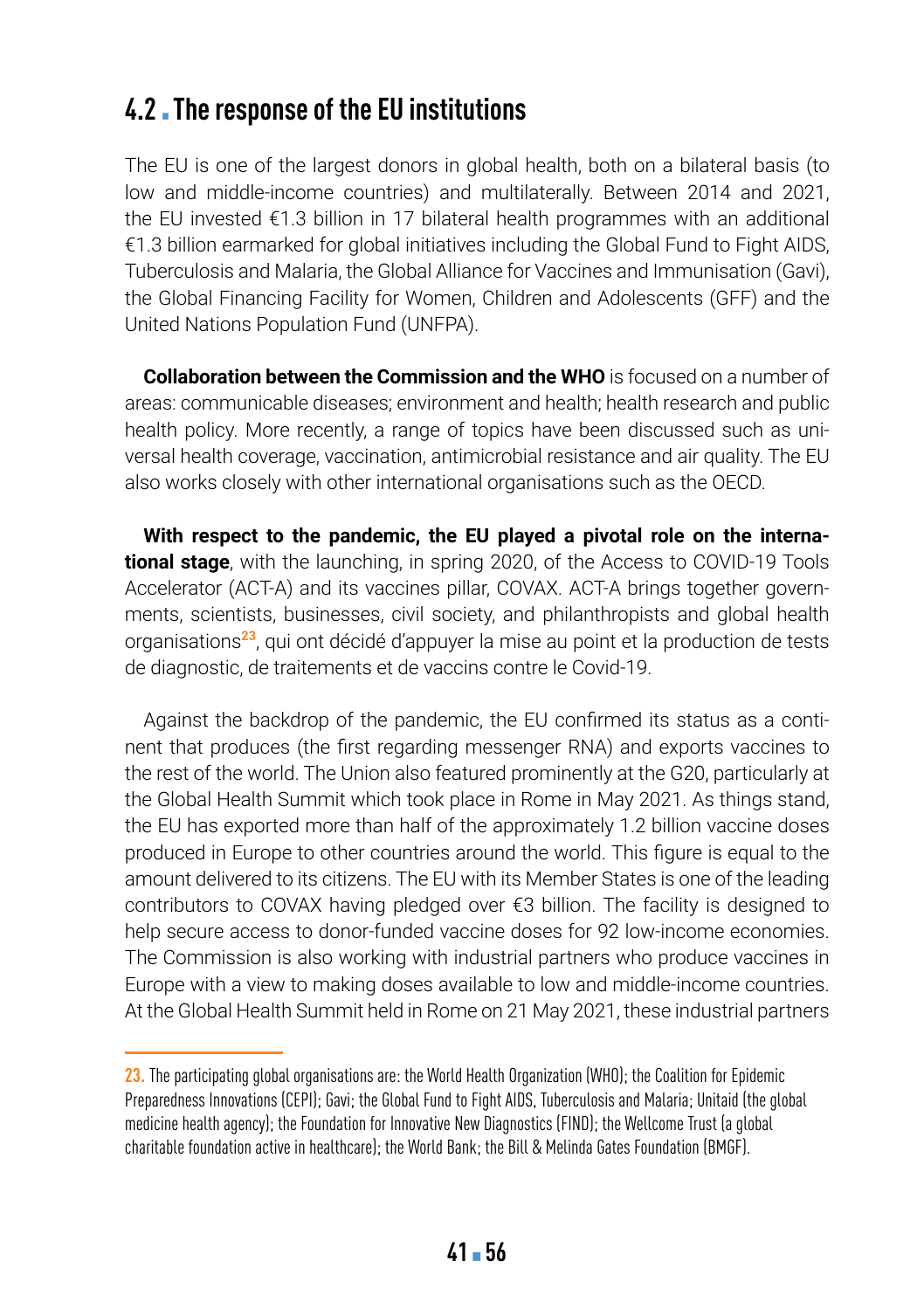### **4.2** ▪ **The response of the EU institutions**

The EU is one of the largest donors in global health, both on a bilateral basis (to low and middle-income countries) and multilaterally. Between 2014 and 2021, the EU invested €1.3 billion in 17 bilateral health programmes with an additional €1.3 billion earmarked for global initiatives including the Global Fund to Fight AIDS, Tuberculosis and Malaria, the Global Alliance for Vaccines and Immunisation (Gavi), the Global Financing Facility for Women, Children and Adolescents (GFF) and the United Nations Population Fund (UNFPA).

**Collaboration between the Commission and the WHO** is focused on a number of areas: communicable diseases; environment and health; health research and public health policy. More recently, a range of topics have been discussed such as universal health coverage, vaccination, antimicrobial resistance and air quality. The EU also works closely with other international organisations such as the OECD.

**With respect to the pandemic, the EU played a pivotal role on the international stage**, with the launching, in spring 2020, of the Access to COVID-19 Tools Accelerator (ACT-A) and its vaccines pillar, COVAX. ACT-A brings together governments, scientists, businesses, civil society, and philanthropists and global health organisations**<sup>23</sup>**, qui ont décidé d'appuyer la mise au point et la production de tests de diagnostic, de traitements et de vaccins contre le Covid-19.

Against the backdrop of the pandemic, the EU confirmed its status as a continent that produces (the first regarding messenger RNA) and exports vaccines to the rest of the world. The Union also featured prominently at the G20, particularly at the Global Health Summit which took place in Rome in May 2021. As things stand, the EU has exported more than half of the approximately 1.2 billion vaccine doses produced in Europe to other countries around the world. This figure is equal to the amount delivered to its citizens. The EU with its Member States is one of the leading contributors to COVAX having pledged over €3 billion. The facility is designed to help secure access to donor-funded vaccine doses for 92 low-income economies. The Commission is also working with industrial partners who produce vaccines in Europe with a view to making doses available to low and middle-income countries. At the Global Health Summit held in Rome on 21 May 2021, these industrial partners

**<sup>23.</sup>** The participating global organisations are: the World Health Organization (WHO); the Coalition for Epidemic Preparedness Innovations (CEPI); Gavi; the Global Fund to Fight AIDS, Tuberculosis and Malaria; Unitaid (the global medicine health agency); the Foundation for Innovative New Diagnostics (FIND); the Wellcome Trust (a global charitable foundation active in healthcare); the World Bank; the Bill & Melinda Gates Foundation (BMGF).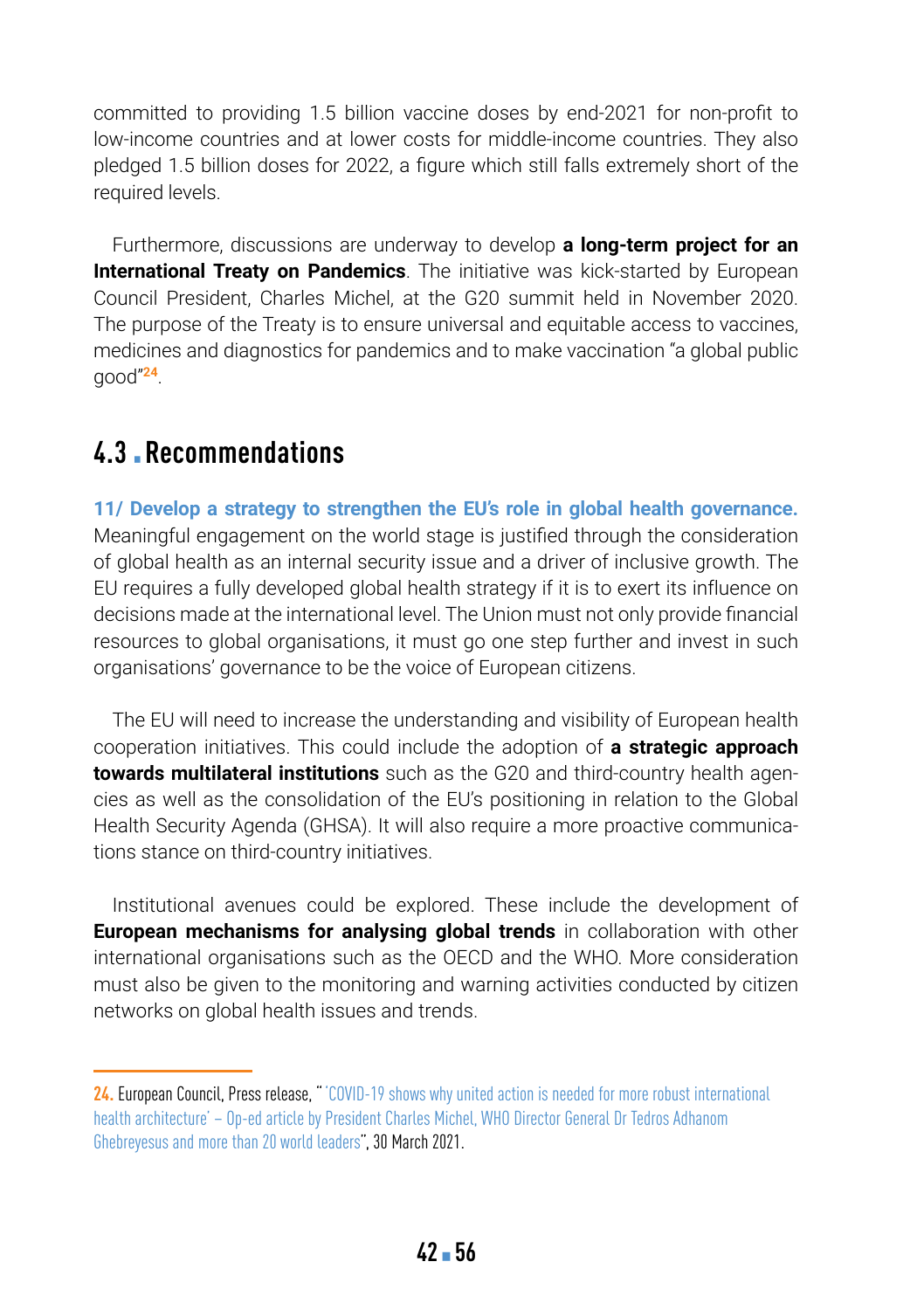committed to providing 1.5 billion vaccine doses by end-2021 for non-profit to low-income countries and at lower costs for middle-income countries. They also pledged 1.5 billion doses for 2022, a figure which still falls extremely short of the required levels.

Furthermore, discussions are underway to develop **a long-term project for an International Treaty on Pandemics**. The initiative was kick-started by European Council President, Charles Michel, at the G20 summit held in November 2020. The purpose of the Treaty is to ensure universal and equitable access to vaccines, medicines and diagnostics for pandemics and to make vaccination "a global public good"**<sup>24</sup>**.

### **4.3** ▪ **Recommendations**

**11/ Develop a strategy to strengthen the EU's role in global health governance.** Meaningful engagement on the world stage is justified through the consideration of global health as an internal security issue and a driver of inclusive growth. The EU requires a fully developed global health strategy if it is to exert its influence on decisions made at the international level. The Union must not only provide financial resources to global organisations, it must go one step further and invest in such organisations' governance to be the voice of European citizens.

The EU will need to increase the understanding and visibility of European health cooperation initiatives. This could include the adoption of **a strategic approach towards multilateral institutions** such as the G20 and third-country health agencies as well as the consolidation of the EU's positioning in relation to the Global Health Security Agenda (GHSA). It will also require a more proactive communications stance on third-country initiatives.

Institutional avenues could be explored. These include the development of **European mechanisms for analysing global trends** in collaboration with other international organisations such as the OECD and the WHO. More consideration must also be given to the monitoring and warning activities conducted by citizen networks on global health issues and trends.

**<sup>24.</sup>** European Council, Press release, "['COVID-19 shows why united action is needed for more robust international](https://www.consilium.europa.eu/en/press/press-releases/2021/03/30/pandemic-treaty-op-ed/)  [health architecture' – Op-ed article by President Charles Michel, WHO Director General Dr Tedros Adhanom](https://www.consilium.europa.eu/en/press/press-releases/2021/03/30/pandemic-treaty-op-ed/)  [Ghebreyesus and more than 20 world leaders"](https://www.consilium.europa.eu/en/press/press-releases/2021/03/30/pandemic-treaty-op-ed/), 30 March 2021.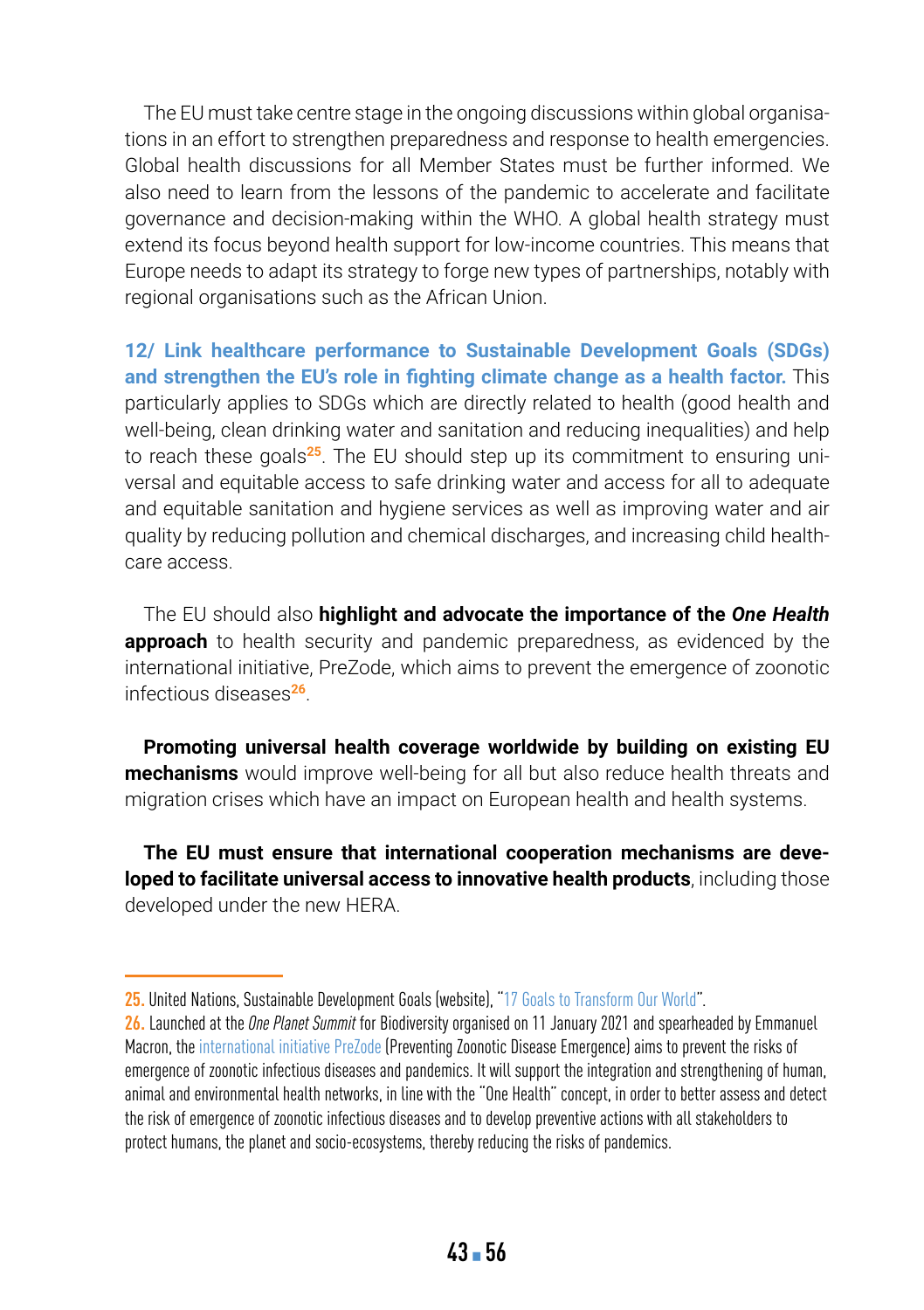The EU must take centre stage in the ongoing discussions within global organisations in an effort to strengthen preparedness and response to health emergencies. Global health discussions for all Member States must be further informed. We also need to learn from the lessons of the pandemic to accelerate and facilitate governance and decision-making within the WHO. A global health strategy must extend its focus beyond health support for low-income countries. This means that Europe needs to adapt its strategy to forge new types of partnerships, notably with regional organisations such as the African Union.

**12/ Link healthcare performance to Sustainable Development Goals (SDGs) and strengthen the EU's role in fighting climate change as a health factor.** This particularly applies to SDGs which are directly related to health (good health and well-being, clean drinking water and sanitation and reducing inequalities) and help to reach these goals**25**. The EU should step up its commitment to ensuring universal and equitable access to safe drinking water and access for all to adequate and equitable sanitation and hygiene services as well as improving water and air quality by reducing pollution and chemical discharges, and increasing child healthcare access.

The EU should also **highlight and advocate the importance of the** *One Health* **approach** to health security and pandemic preparedness, as evidenced by the international initiative, PreZode, which aims to prevent the emergence of zoonotic infectious diseases**<sup>26</sup>**.

**Promoting universal health coverage worldwide by building on existing EU mechanisms** would improve well-being for all but also reduce health threats and migration crises which have an impact on European health and health systems.

**The EU must ensure that international cooperation mechanisms are developed to facilitate universal access to innovative health products**, including those developed under the new HERA.

**<sup>25.</sup>** United Nations, Sustainable Development Goals (website), "[17 Goals to Transform Our World"](https://www.un.org/sustainabledevelopment/).

**<sup>26.</sup>** Launched at the *One Planet Summit* for Biodiversity organised on 11 January 2021 and spearheaded by Emmanuel Macron, the [international initiative PreZode](https://prezode.org/) (Preventing Zoonotic Disease Emergence) aims to prevent the risks of emergence of zoonotic infectious diseases and pandemics. It will support the integration and strengthening of human, animal and environmental health networks, in line with the "One Health" concept, in order to better assess and detect the risk of emergence of zoonotic infectious diseases and to develop preventive actions with all stakeholders to protect humans, the planet and socio-ecosystems, thereby reducing the risks of pandemics.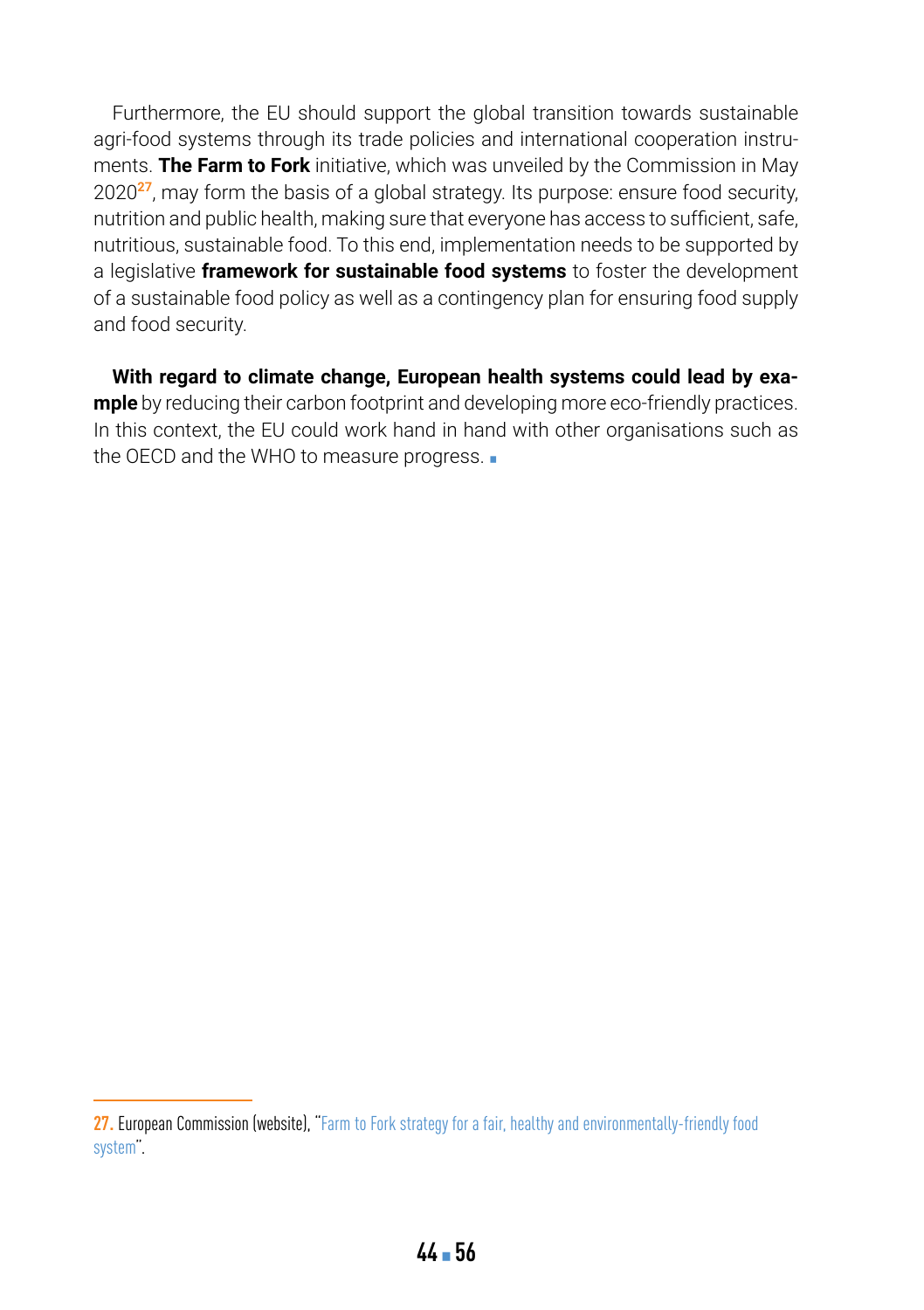Furthermore, the EU should support the global transition towards sustainable agri-food systems through its trade policies and international cooperation instruments. **The Farm to Fork** initiative, which was unveiled by the Commission in May 2020**<sup>27</sup>**, may form the basis of a global strategy. Its purpose: ensure food security, nutrition and public health, making sure that everyone has access to sufficient, safe, nutritious, sustainable food. To this end, implementation needs to be supported by a legislative **framework for sustainable food systems** to foster the development of a sustainable food policy as well as a contingency plan for ensuring food supply and food security.

**With regard to climate change, European health systems could lead by example** by reducing their carbon footprint and developing more eco-friendly practices. In this context, the EU could work hand in hand with other organisations such as the OECD and the WHO to measure progress.

**<sup>27.</sup>** European Commission (website), "[Farm to Fork strategy for a fair, healthy and environmentally-friendly food](https://ec.europa.eu/food/horizontal-topics/farm-fork-strategy_en)  [system"](https://ec.europa.eu/food/horizontal-topics/farm-fork-strategy_en).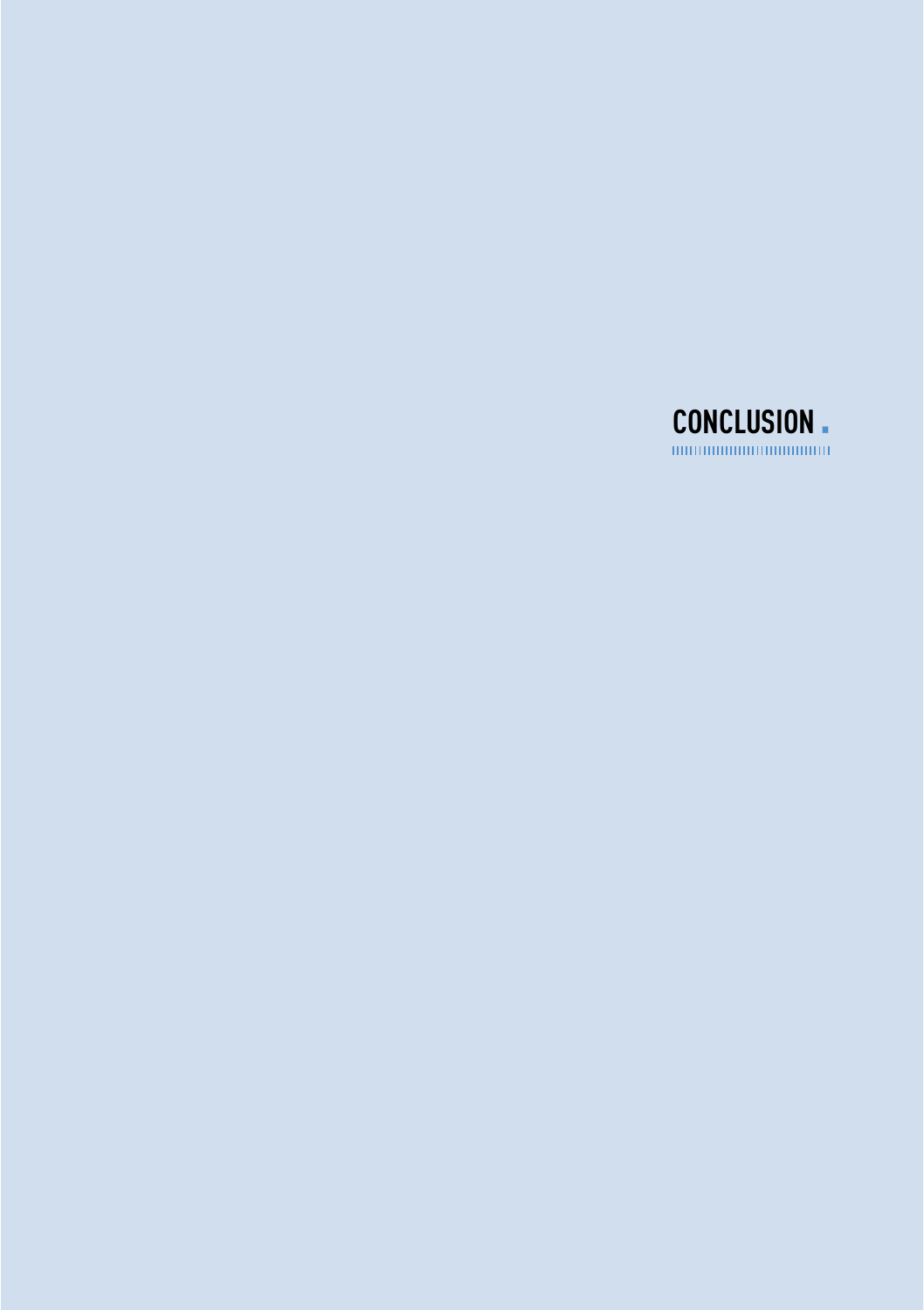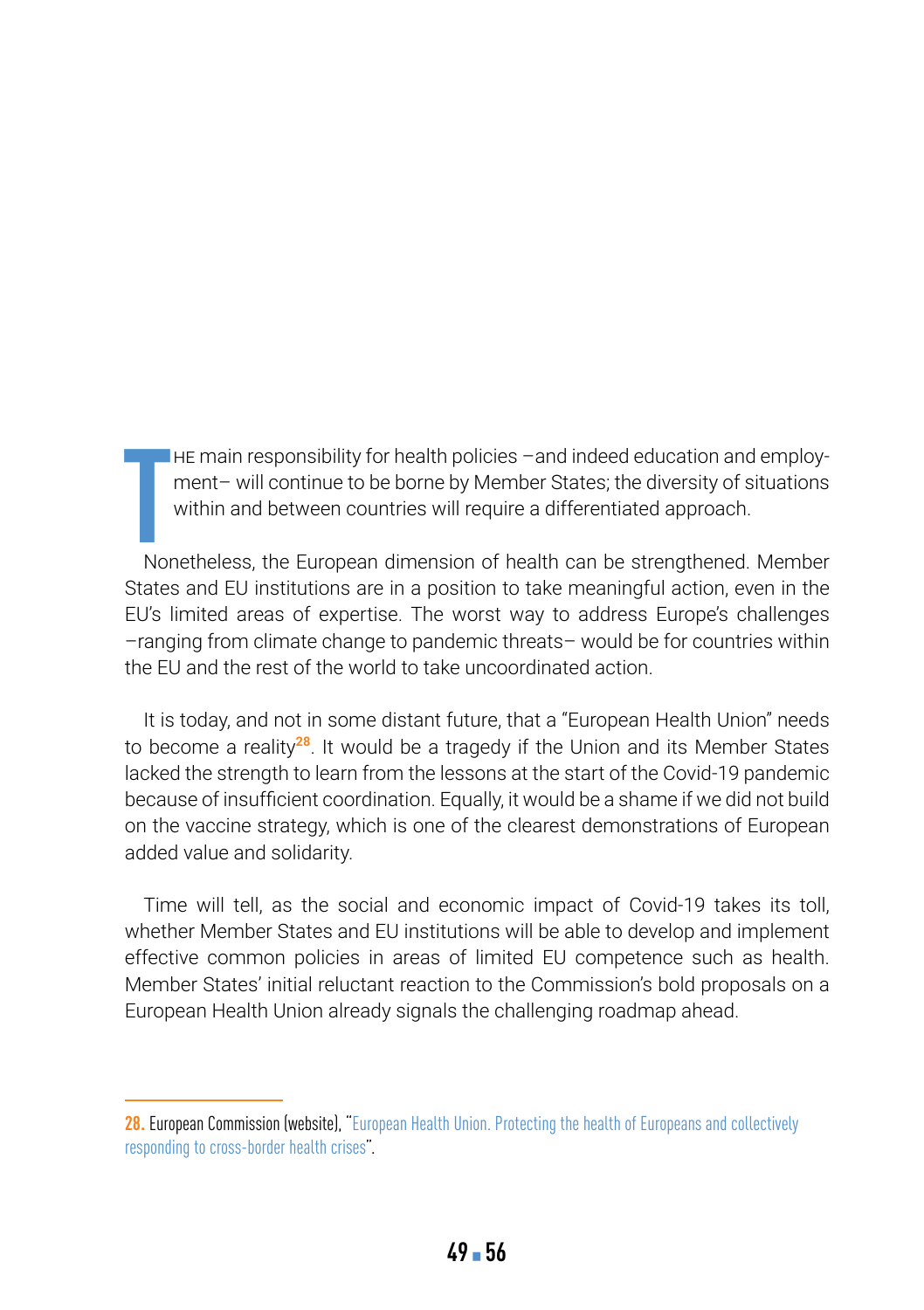**HE main responsibility for health policies –and indeed education and employ**ment– will continue to be borne by Member States; the diversity of situations within and between countries will require a differentiated approach.

**T** Nonetheless, the European dimension of health can be strengthened. Member States and EU institutions are in a position to take meaningful action, even in the EU's limited areas of expertise. The worst way to address Europe's challenges –ranging from climate change to pandemic threats– would be for countries within the EU and the rest of the world to take uncoordinated action.

It is today, and not in some distant future, that a "European Health Union" needs to become a reality**<sup>28</sup>**. It would be a tragedy if the Union and its Member States lacked the strength to learn from the lessons at the start of the Covid-19 pandemic because of insufficient coordination. Equally, it would be a shame if we did not build on the vaccine strategy, which is one of the clearest demonstrations of European added value and solidarity.

Time will tell, as the social and economic impact of Covid-19 takes its toll, whether Member States and EU institutions will be able to develop and implement effective common policies in areas of limited EU competence such as health. Member States' initial reluctant reaction to the Commission's bold proposals on a European Health Union already signals the challenging roadmap ahead.

**<sup>28.</sup>** European Commission (website), ["European Health Union. Protecting the health of Europeans and collectively](https://ec.europa.eu/info/strategy/priorities-2019-2024/promoting-our-european-way-life/european-health-union_en)  [responding to cross-border health crises](https://ec.europa.eu/info/strategy/priorities-2019-2024/promoting-our-european-way-life/european-health-union_en)".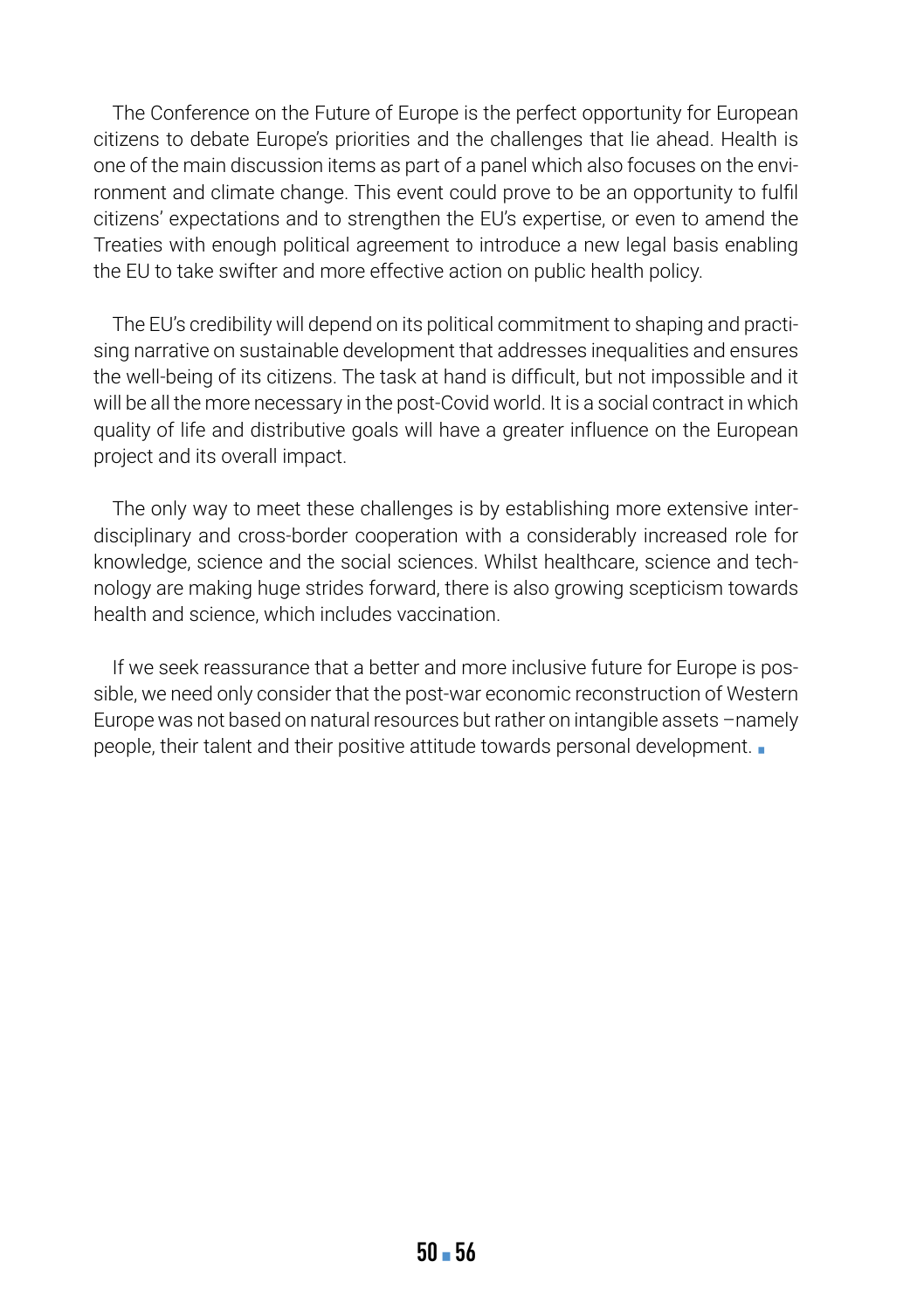The Conference on the Future of Europe is the perfect opportunity for European citizens to debate Europe's priorities and the challenges that lie ahead. Health is one of the main discussion items as part of a panel which also focuses on the environment and climate change. This event could prove to be an opportunity to fulfil citizens' expectations and to strengthen the EU's expertise, or even to amend the Treaties with enough political agreement to introduce a new legal basis enabling the EU to take swifter and more effective action on public health policy.

The EU's credibility will depend on its political commitment to shaping and practising narrative on sustainable development that addresses inequalities and ensures the well-being of its citizens. The task at hand is difficult, but not impossible and it will be all the more necessary in the post-Covid world. It is a social contract in which quality of life and distributive goals will have a greater influence on the European project and its overall impact.

The only way to meet these challenges is by establishing more extensive interdisciplinary and cross-border cooperation with a considerably increased role for knowledge, science and the social sciences. Whilst healthcare, science and technology are making huge strides forward, there is also growing scepticism towards health and science, which includes vaccination.

If we seek reassurance that a better and more inclusive future for Europe is possible, we need only consider that the post-war economic reconstruction of Western Europe was not based on natural resources but rather on intangible assets –namely people, their talent and their positive attitude towards personal development. ■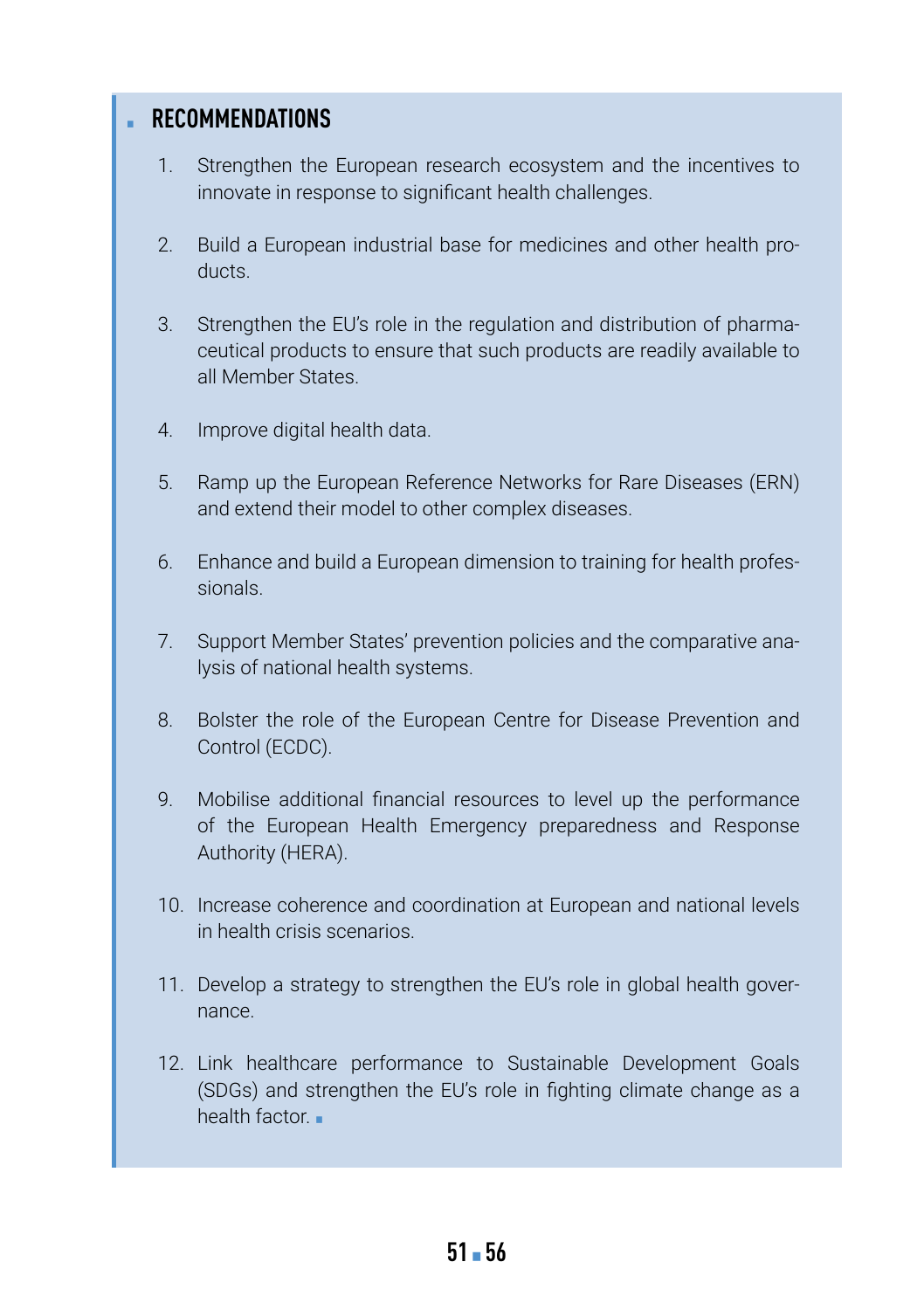### **RECOMMENDATIONS**

- 1. Strengthen the European research ecosystem and the incentives to innovate in response to significant health challenges.
- 2. Build a European industrial base for medicines and other health products.
- 3. Strengthen the EU's role in the regulation and distribution of pharmaceutical products to ensure that such products are readily available to all Member States.
- 4. Improve digital health data.
- 5. Ramp up the European Reference Networks for Rare Diseases (ERN) and extend their model to other complex diseases.
- 6. Enhance and build a European dimension to training for health professionals.
- 7. Support Member States' prevention policies and the comparative analysis of national health systems.
- 8. Bolster the role of the European Centre for Disease Prevention and Control (ECDC).
- 9. Mobilise additional financial resources to level up the performance of the European Health Emergency preparedness and Response Authority (HERA).
- 10. Increase coherence and coordination at European and national levels in health crisis scenarios.
- 11. Develop a strategy to strengthen the EU's role in global health governance.
- 12. Link healthcare performance to Sustainable Development Goals (SDGs) and strengthen the EU's role in fighting climate change as a health factor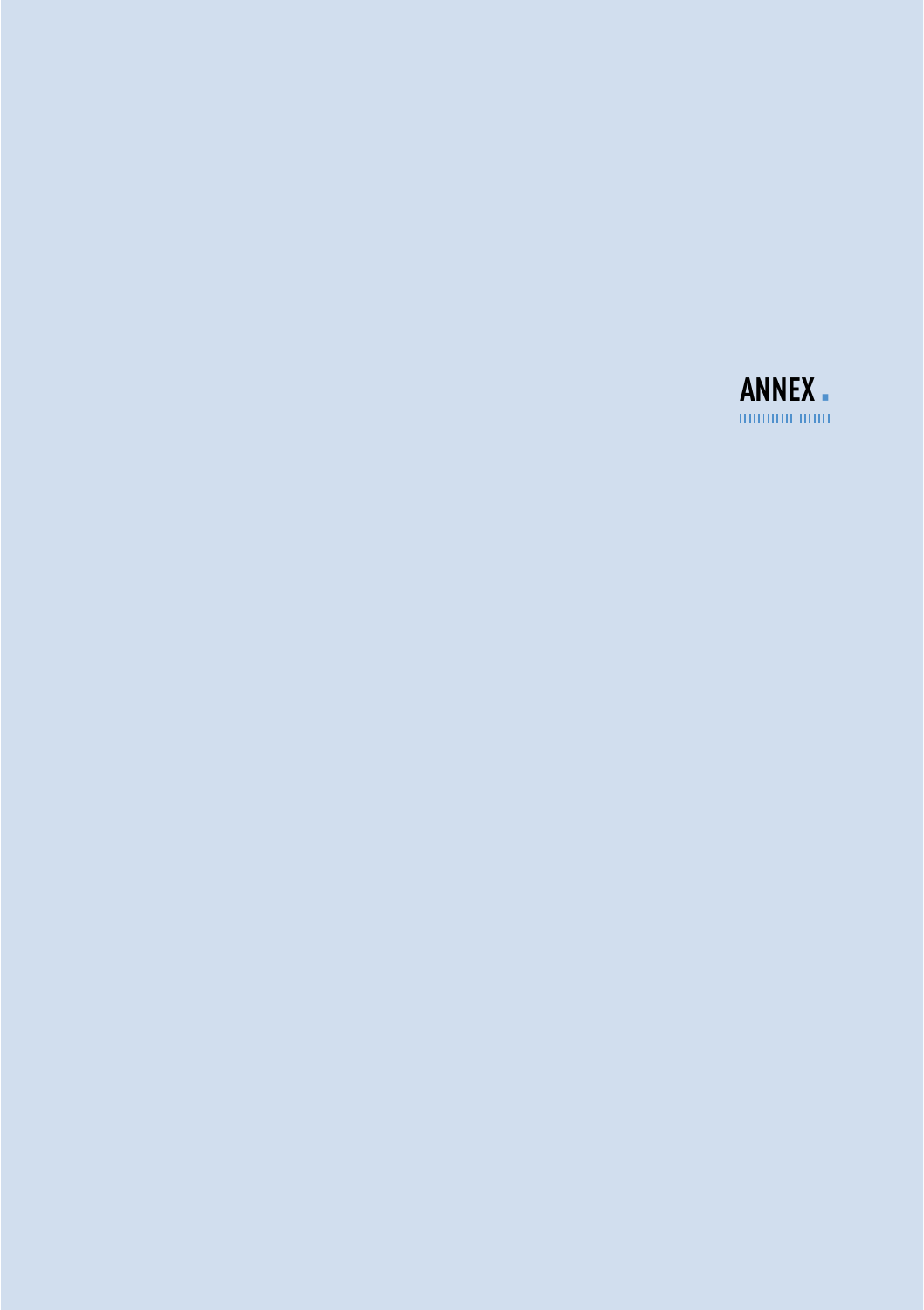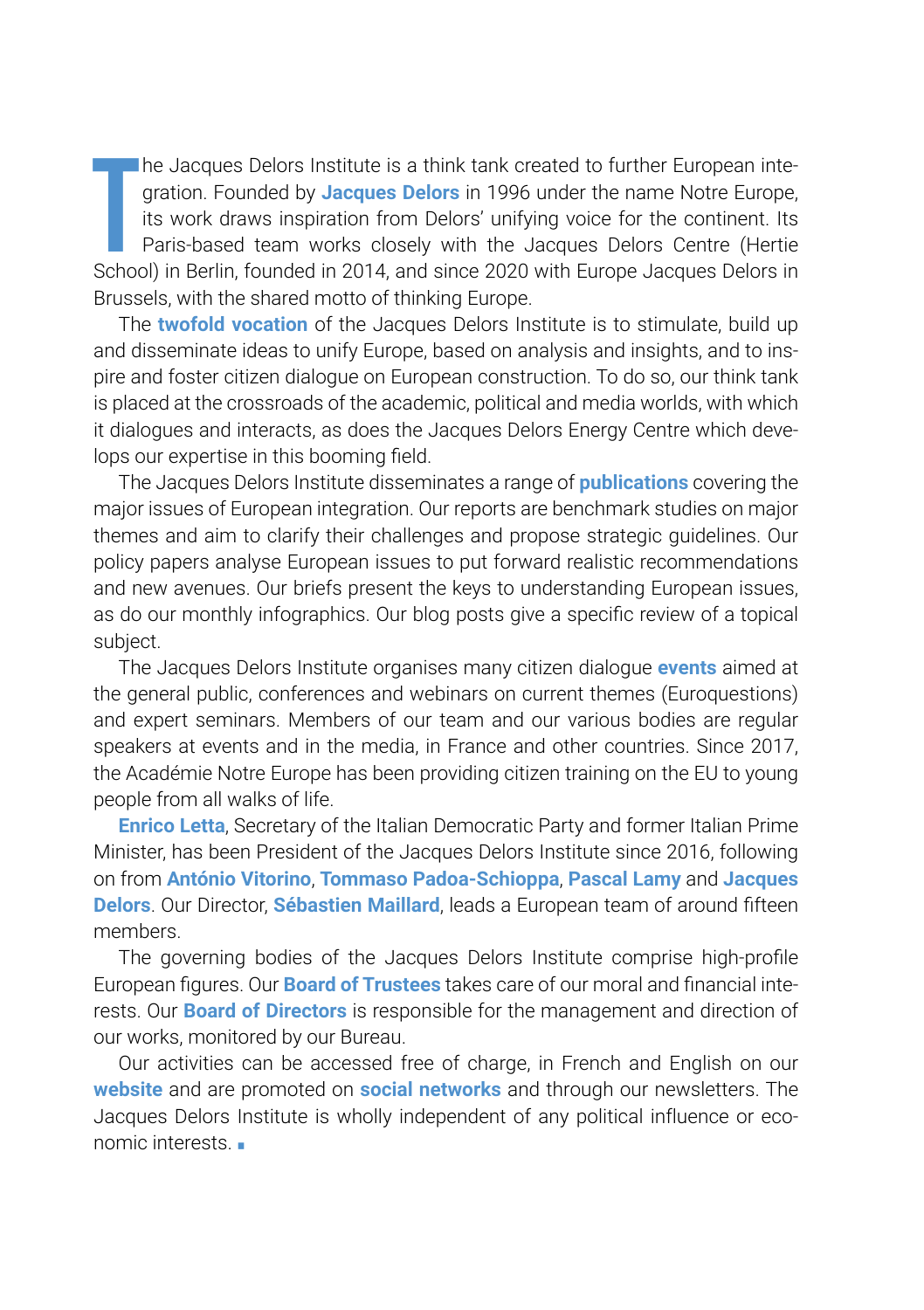**T** he Jacques Delors Institute is a think tank created to further European integration. Founded by **Jacques Delors** in 1996 under the name Notre Europe, its work draws inspiration from Delors' unifying voice for the continent. Its Paris-based team works closely with the Jacques Delors Centre (Hertie School) in Berlin, founded in 2014, and since 2020 with Europe Jacques Delors in Brussels, with the shared motto of thinking Europe.

The **twofold vocation** of the Jacques Delors Institute is to stimulate, build up and disseminate ideas to unify Europe, based on analysis and insights, and to inspire and foster citizen dialogue on European construction. To do so, our think tank is placed at the crossroads of the academic, political and media worlds, with which it dialogues and interacts, as does the Jacques Delors Energy Centre which develops our expertise in this booming field.

The Jacques Delors Institute disseminates a range of **publications** covering the major issues of European integration. Our reports are benchmark studies on major themes and aim to clarify their challenges and propose strategic guidelines. Our policy papers analyse European issues to put forward realistic recommendations and new avenues. Our briefs present the keys to understanding European issues, as do our monthly infographics. Our blog posts give a specific review of a topical subject.

The Jacques Delors Institute organises many citizen dialogue **events** aimed at the general public, conferences and webinars on current themes (Euroquestions) and expert seminars. Members of our team and our various bodies are regular speakers at events and in the media, in France and other countries. Since 2017, the Académie Notre Europe has been providing citizen training on the EU to young people from all walks of life.

**Enrico Letta**, Secretary of the Italian Democratic Party and former Italian Prime Minister, has been President of the Jacques Delors Institute since 2016, following on from **António Vitorino**, **Tommaso Padoa-Schioppa**, **Pascal Lamy** and **Jacques Delors**. Our Director, **Sébastien Maillard**, leads a European team of around fifteen members.

The governing bodies of the Jacques Delors Institute comprise high-profile European figures. Our **Board of Trustees** takes care of our moral and financial interests. Our **Board of Directors** is responsible for the management and direction of our works, monitored by our Bureau.

Our activities can be accessed free of charge, in French and English on our **website** and are promoted on **social networks** and through our newsletters. The Jacques Delors Institute is wholly independent of any political influence or economic interests. ▪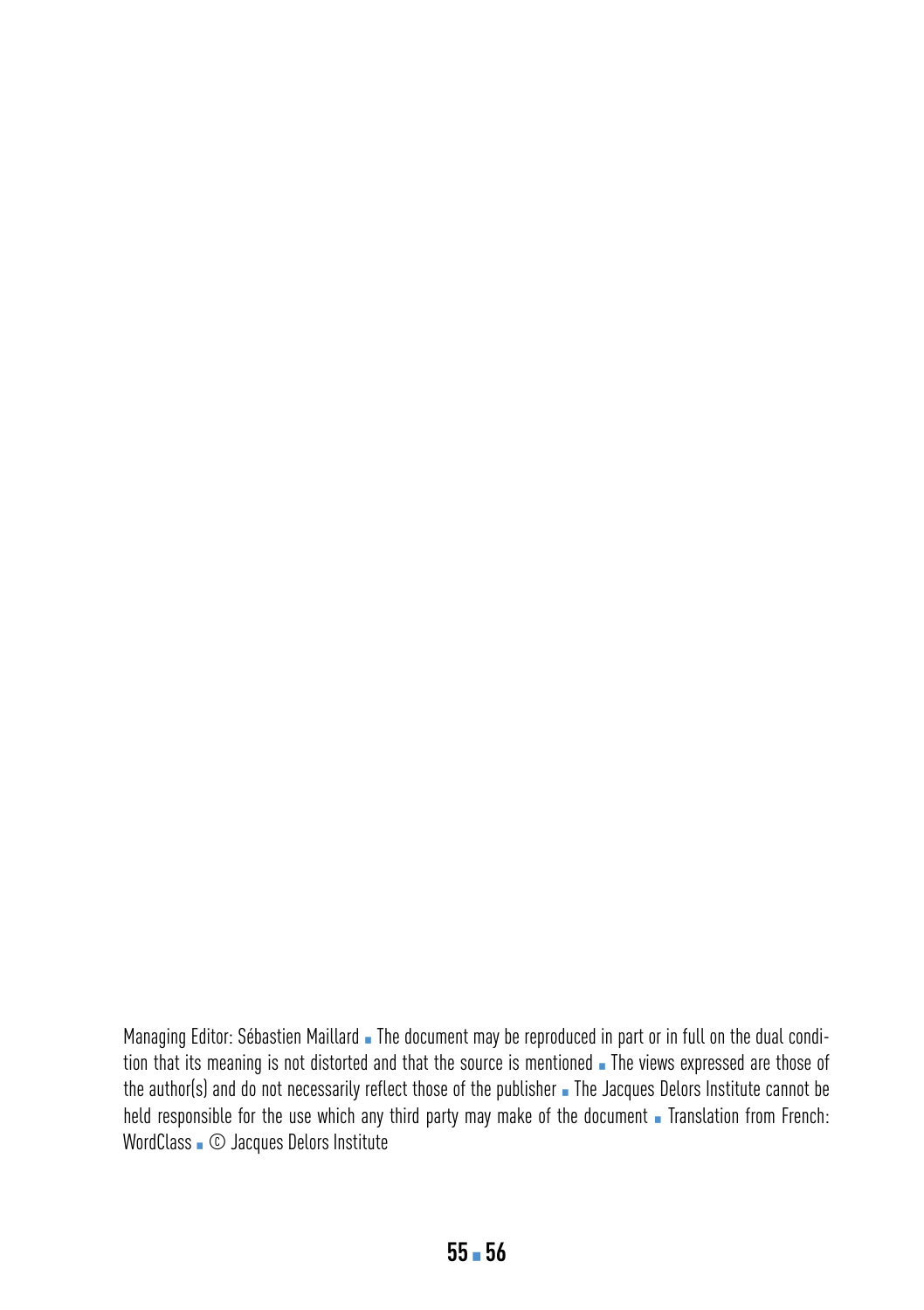Managing Editor: Sébastien Maillard · The document may be reproduced in part or in full on the dual condition that its meaning is not distorted and that the source is mentioned **.** The views expressed are those of the author(s) and do not necessarily reflect those of the publisher . The Jacques Delors Institute cannot be held responsible for the use which any third party may make of the document . Translation from French: WordClass . © Jacques Delors Institute